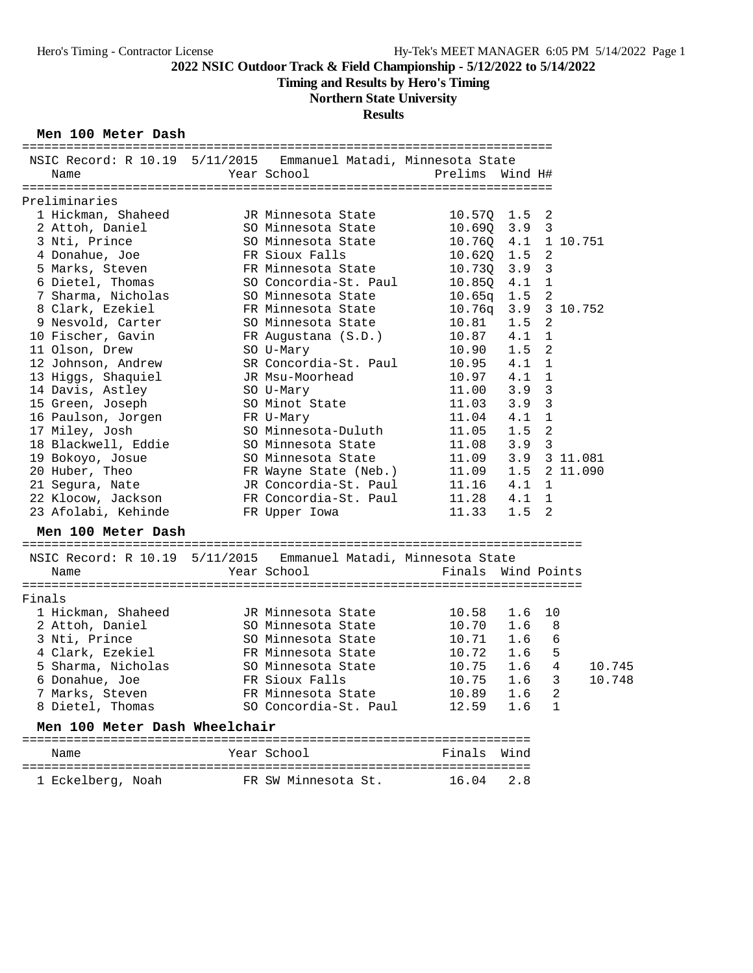# **Timing and Results by Hero's Timing**

# **Northern State University**

# **Results**

### **Men 100 Meter Dash**

| NSIC Record: R 10.19 5/11/2015 Emmanuel Matadi, Minnesota State |                       |                    |                  |                |        |
|-----------------------------------------------------------------|-----------------------|--------------------|------------------|----------------|--------|
| Name                                                            | Year School           | Prelims Wind H#    |                  |                |        |
|                                                                 |                       |                    |                  |                |        |
| Preliminaries                                                   |                       |                    |                  |                |        |
| 1 Hickman, Shaheed                                              | JR Minnesota State    | 10.570 1.5 2       |                  |                |        |
| 2 Attoh, Daniel                                                 | SO Minnesota State    | 10.69Q             | 3.9 <sub>3</sub> |                |        |
| 3 Nti, Prince                                                   | SO Minnesota State    | 10.760             |                  | 4.1 1 10.751   |        |
| 4 Donahue, Joe                                                  | FR Sioux Falls        | 10.620             | 1.5              | 2              |        |
| 5 Marks, Steven                                                 | FR Minnesota State    | 10.730             | 3.9              | $\overline{3}$ |        |
| 6 Dietel, Thomas                                                | SO Concordia-St. Paul | 10.85Q             | 4.1              | $\mathbf{1}$   |        |
| 7 Sharma, Nicholas                                              | SO Minnesota State    | 10.65q             | $1.5 \quad 2$    |                |        |
| 8 Clark, Ezekiel                                                | FR Minnesota State    | 10.76q             |                  | 3.9 3 10.752   |        |
| 9 Nesvold, Carter                                               | SO Minnesota State    | 10.81              | 1.5              | 2              |        |
| 10 Fischer, Gavin                                               | FR Augustana (S.D.)   | 10.87              | 4.1              | $\mathbf{1}$   |        |
| 11 Olson, Drew                                                  | SO U-Mary             | 10.90              | 1.5              | 2              |        |
| 12 Johnson, Andrew                                              | SR Concordia-St. Paul | 10.95              | 4.1              | $\mathbf{1}$   |        |
| 13 Higgs, Shaquiel                                              | JR Msu-Moorhead       | 10.97              | 4.1              | 1              |        |
| 14 Davis, Astley                                                | SO U-Mary             | 11.00              | 3.9              | $\overline{3}$ |        |
| 15 Green, Joseph                                                | SO Minot State        | 11.03              | 3.9              | $\overline{3}$ |        |
| 16 Paulson, Jorgen                                              | FR U-Mary             | 11.04              | 4.1              | $\mathbf{1}$   |        |
| 17 Miley, Josh                                                  | SO Minnesota-Duluth   | 11.05              | 1.5              | $\overline{c}$ |        |
| 18 Blackwell, Eddie                                             | SO Minnesota State    | 11.08              | 3.9              | $\overline{3}$ |        |
| 19 Bokoyo, Josue                                                | SO Minnesota State    | 11.09              |                  | 3.9 3 11.081   |        |
| 20 Huber, Theo                                                  | FR Wayne State (Neb.) | 11.09              |                  | 1.5 2 11.090   |        |
| 21 Segura, Nate                                                 | JR Concordia-St. Paul | 11.16              | 4.1              | 1              |        |
| 22 Klocow, Jackson                                              | FR Concordia-St. Paul | 11.28              | 4.1              | 1              |        |
| 23 Afolabi, Kehinde                                             |                       | 11.33              | 1.5              | 2              |        |
|                                                                 | FR Upper Iowa         |                    |                  |                |        |
| Men 100 Meter Dash                                              |                       |                    |                  |                |        |
| NSIC Record: R 10.19 5/11/2015 Emmanuel Matadi, Minnesota State |                       |                    |                  |                |        |
| Name                                                            | Year School           | Finals Wind Points |                  |                |        |
|                                                                 |                       |                    |                  |                |        |
| Finals                                                          |                       |                    |                  |                |        |
| 1 Hickman, Shaheed                                              | JR Minnesota State    | 10.58              | 1.6              | 10             |        |
| 2 Attoh, Daniel                                                 | SO Minnesota State    | 10.70              | 1.6              | 8              |        |
| 3 Nti, Prince                                                   | SO Minnesota State    | 10.71              | 1.6              | 6              |        |
| 4 Clark, Ezekiel                                                | FR Minnesota State    | 10.72              | 1.6              | 5              |        |
| 5 Sharma, Nicholas                                              | SO Minnesota State    | 10.75              | 1.6              | 4              | 10.745 |
| 6 Donahue, Joe                                                  | FR Sioux Falls        | 10.75              | 1.6              | 3              | 10.748 |
| 7 Marks, Steven                                                 | FR Minnesota State    | 10.89              | 1.6              | $\sqrt{2}$     |        |
| 8 Dietel, Thomas                                                | SO Concordia-St. Paul | 12.59              | 1.6              | 1              |        |
| Men 100 Meter Dash Wheelchair                                   |                       |                    |                  |                |        |
| Name                                                            | Year School           | Finals             | Wind             |                |        |
|                                                                 |                       |                    |                  |                |        |
| 1 Eckelberg, Noah                                               | FR SW Minnesota St.   | 16.04              | 2.8              |                |        |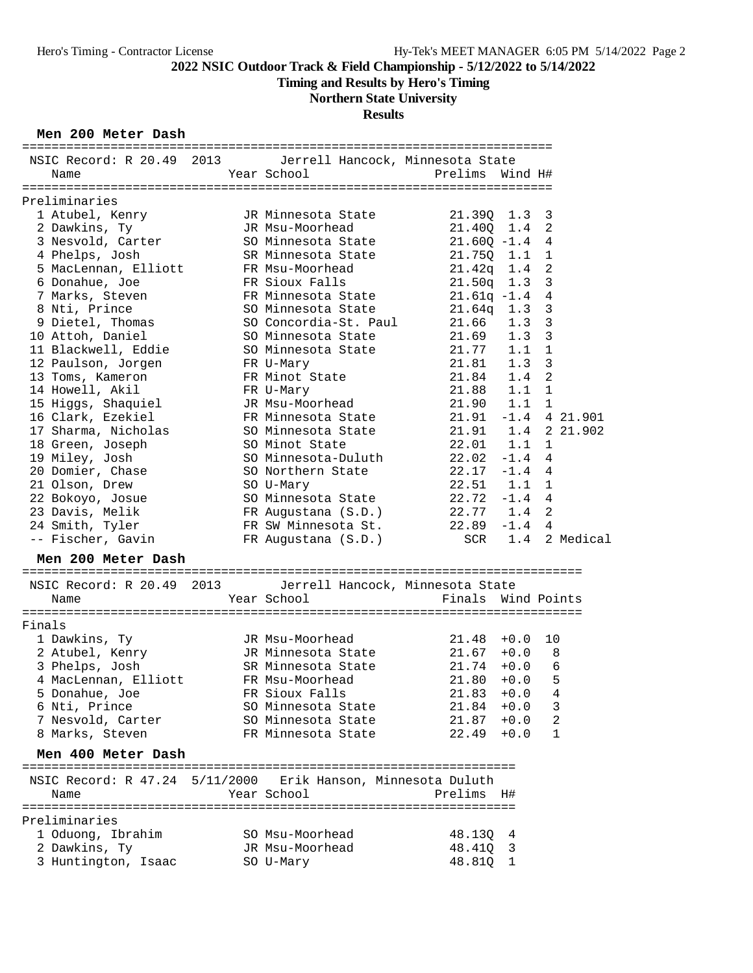# **Timing and Results by Hero's Timing**

# **Northern State University**

## **Results**

### **Men 200 Meter Dash**

| NSIC Record: R 20.49 2013 Jerrell Hancock, Minnesota State   |                       |                        |         |                         |               |
|--------------------------------------------------------------|-----------------------|------------------------|---------|-------------------------|---------------|
| Name                                                         | Year School           | Prelims                | Wind H# |                         |               |
|                                                              |                       |                        |         |                         |               |
| Preliminaries                                                |                       |                        |         |                         |               |
| 1 Atubel, Kenry                                              | JR Minnesota State    | 21.390                 | $1.3-3$ |                         |               |
| 2 Dawkins, Ty                                                | JR Msu-Moorhead       | 21.40Q                 | $1.4$ 2 |                         |               |
| 3 Nesvold, Carter                                            | SO Minnesota State    | $21.60Q -1.4$ 4        |         |                         |               |
| 4 Phelps, Josh                                               | SR Minnesota State    | 21.75Q                 | 1.1     | $\overline{1}$          |               |
| 5 MacLennan, Elliott                                         | FR Msu-Moorhead       | 21.42q                 | 1.4     | 2                       |               |
| 6 Donahue, Joe                                               | FR Sioux Falls        | 21.50q                 | 1.3     | $\mathbf{3}$            |               |
| 7 Marks, Steven                                              | FR Minnesota State    | $21.61q -1.4$          |         | $\overline{4}$          |               |
| 8 Nti, Prince                                                | SO Minnesota State    | 21.64q                 | 1.3     | $\mathbf{3}$            |               |
| 9 Dietel, Thomas                                             | SO Concordia-St. Paul | 21.66                  | 1.3     | $\overline{\mathbf{3}}$ |               |
| 10 Attoh, Daniel                                             | SO Minnesota State    | 21.69                  | 1.3     | $\overline{\mathbf{3}}$ |               |
| 11 Blackwell, Eddie                                          | SO Minnesota State    | 21.77                  | 1.1     | $\mathbf{1}$            |               |
|                                                              |                       | 21.81                  | 1.3     | $\overline{3}$          |               |
| 12 Paulson, Jorgen                                           | FR U-Mary             |                        |         | $\overline{c}$          |               |
| 13 Toms, Kameron                                             | FR Minot State        | 21.84<br>21.88         | 1.4     |                         |               |
| 14 Howell, Akil                                              | FR U-Mary             |                        | 1.1     | $\overline{1}$          |               |
| 15 Higgs, Shaquiel                                           | JR Msu-Moorhead       | 21.90                  | 1.1     | $\overline{1}$          |               |
| 16 Clark, Ezekiel                                            | FR Minnesota State    | $21.91 - 1.4 4 21.901$ |         |                         |               |
| 17 Sharma, Nicholas                                          | SO Minnesota State    | 21.91  1.4  2  21.902  |         |                         |               |
| 18 Green, Joseph                                             | SO Minot State        | 22.01 1.1 1            |         |                         |               |
| 19 Miley, Josh                                               | SO Minnesota-Duluth   | $22.02 -1.4$ 4         |         |                         |               |
| 20 Domier, Chase                                             | SO Northern State     | $22.17 - 1.4$ 4        |         |                         |               |
| 21 Olson, Drew                                               | SO U-Mary             | $22.51$ $1.1$ 1        |         |                         |               |
| 22 Bokoyo, Josue                                             | SO Minnesota State    | $22.72 - 1.4$ 4        |         |                         |               |
| 23 Davis, Melik                                              | FR Augustana (S.D.)   | 22.77 1.4 2            |         |                         |               |
| 24 Smith, Tyler                                              | FR SW Minnesota St.   | $22.89 - 1.4 4$        |         |                         |               |
| -- Fischer, Gavin                                            | FR Augustana (S.D.)   | SCR                    |         |                         | 1.4 2 Medical |
|                                                              |                       |                        |         |                         |               |
| Men 200 Meter Dash                                           |                       |                        |         |                         |               |
| NSIC Record: R 20.49 2013 Jerrell Hancock, Minnesota State   |                       |                        |         |                         |               |
| Name                                                         | Year School           | Finals Wind Points     |         |                         |               |
|                                                              |                       |                        |         |                         |               |
| Finals                                                       |                       |                        |         |                         |               |
|                                                              | JR Msu-Moorhead       | $21.48 + 0.0$          |         | 10                      |               |
| 1 Dawkins, Ty                                                |                       | $21.67 + 0.0$          |         |                         |               |
| 2 Atubel, Kenry                                              | JR Minnesota State    |                        |         | 8                       |               |
| 3 Phelps, Josh                                               | SR Minnesota State    | $21.74 + 0.0$          |         | 6                       |               |
| 4 MacLennan, Elliott                                         | FR Msu-Moorhead       | 21.80                  | $+0.0$  | 5                       |               |
| 5 Donahue, Joe                                               | FR Sioux Falls        | $21.83 + 0.0$          |         | $\overline{4}$          |               |
| 6 Nti, Prince                                                | SO Minnesota State    | $21.84 + 0.0$          |         | 3                       |               |
| 7 Nesvold, Carter                                            | SO Minnesota State    | $21.87 + 0.0$          |         | 2                       |               |
| 8 Marks, Steven                                              | FR Minnesota State    | 22.49                  | $+0.0$  | 1                       |               |
| Men 400 Meter Dash                                           |                       |                        |         |                         |               |
|                                                              |                       |                        |         |                         |               |
| NSIC Record: R 47.24 5/11/2000 Erik Hanson, Minnesota Duluth |                       |                        |         |                         |               |
| Name                                                         | Year School           | Prelims                | H#      |                         |               |
|                                                              |                       |                        |         |                         |               |
| Preliminaries                                                |                       |                        |         |                         |               |
| 1 Oduong, Ibrahim                                            | SO Msu-Moorhead       | 48.130                 | 4       |                         |               |
| 2 Dawkins, Ty                                                | JR Msu-Moorhead       | 48.41Q                 | 3       |                         |               |
| 3 Huntington, Isaac                                          | SO U-Mary             | 48.81Q 1               |         |                         |               |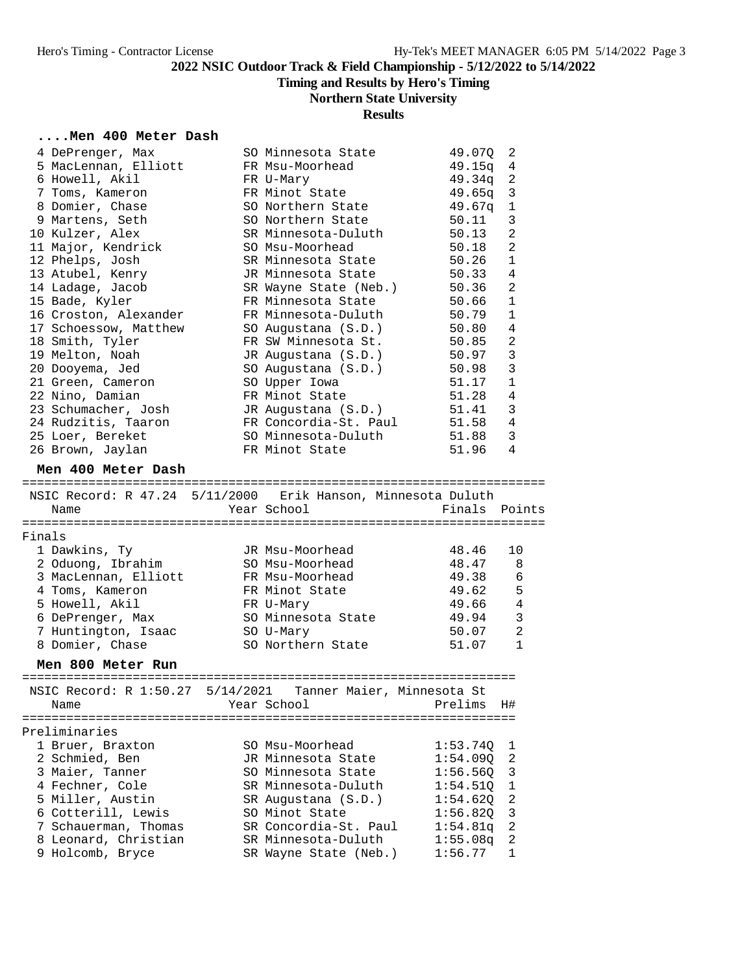**Timing and Results by Hero's Timing**

# **Northern State University**

# **Results**

## **....Men 400 Meter Dash**

|        | 4 DePrenger, Max                                             | SO Minnesota State                    | 49.07Q        | 2              |
|--------|--------------------------------------------------------------|---------------------------------------|---------------|----------------|
|        | 5 MacLennan, Elliott                                         | FR Msu-Moorhead                       | 49.15a        | 4              |
|        | 6 Howell, Akil                                               | FR U-Mary                             | 49.34q        | 2              |
|        | 7 Toms, Kameron                                              | FR Minot State                        | 49.65q        | 3              |
|        | 8 Domier, Chase                                              | SO Northern State                     | 49.67q        | $\mathbf 1$    |
|        | 9 Martens, Seth                                              | SO Northern State                     | 50.11         | 3              |
|        | 10 Kulzer, Alex                                              | SR Minnesota-Duluth                   | 50.13         | $\overline{a}$ |
|        | 11 Major, Kendrick                                           | SO Msu-Moorhead                       | 50.18         | $\overline{2}$ |
|        | 12 Phelps, Josh                                              | SR Minnesota State                    | 50.26         | 1              |
|        | 13 Atubel, Kenry                                             | JR Minnesota State                    | 50.33         | 4              |
|        | 14 Ladage, Jacob                                             | SR Wayne State (Neb.)                 | 50.36         | $\overline{c}$ |
|        | 15 Bade, Kyler                                               | FR Minnesota State                    | 50.66         | $\mathbf{1}$   |
|        | 16 Croston, Alexander                                        | FR Minnesota-Duluth                   | 50.79         | $\mathbf{1}$   |
|        | 17 Schoessow, Matthew                                        | SO Augustana (S.D.)                   | 50.80         | 4              |
|        | 18 Smith, Tyler                                              | FR SW Minnesota St.                   | 50.85         | $\overline{2}$ |
|        | 19 Melton, Noah                                              | JR Augustana (S.D.)                   | 50.97         | 3              |
|        | 20 Dooyema, Jed                                              | SO Augustana (S.D.)                   | 50.98         | 3              |
|        | 21 Green, Cameron                                            | SO Upper Iowa                         | 51.17         | $\mathbf{1}$   |
|        | 22 Nino, Damian                                              | FR Minot State                        | 51.28         | $\overline{4}$ |
|        | 23 Schumacher, Josh                                          | JR Augustana (S.D.)                   | 51.41         | 3              |
|        | 24 Rudzitis, Taaron                                          | FR Concordia-St. Paul                 | 51.58         | 4              |
|        | 25 Loer, Bereket                                             | SO Minnesota-Duluth<br>FR Minot State | 51.88         | 3<br>4         |
|        | 26 Brown, Jaylan                                             |                                       | 51.96         |                |
|        | Men 400 Meter Dash                                           |                                       |               |                |
|        | NSIC Record: R 47.24 5/11/2000 Erik Hanson, Minnesota Duluth |                                       |               |                |
|        | Name                                                         | Year School                           | Finals Points |                |
|        |                                                              |                                       |               |                |
| Finals |                                                              |                                       |               |                |
|        | 1 Dawkins, Ty                                                | JR Msu-Moorhead                       | 48.46         | 10             |
|        | 2 Oduong, Ibrahim                                            | SO Msu-Moorhead                       | 48.47         | 8              |
|        | 3 MacLennan, Elliott                                         | FR Msu-Moorhead                       | 49.38         | 6              |
|        | 4 Toms, Kameron                                              | FR Minot State                        | 49.62         | 5              |
|        | 5 Howell, Akil                                               | FR U-Mary                             | 49.66         | $\overline{4}$ |
|        | 6 DePrenger, Max                                             | SO Minnesota State                    | 49.94         | $\mathbf{3}$   |
|        | 7 Huntington, Isaac                                          | SO U-Mary                             | 50.07         | 2              |
|        | 8 Domier, Chase                                              | SO Northern State                     | 51.07         | $\mathbf{1}$   |
|        | Men 800 Meter Run                                            |                                       |               |                |
|        |                                                              |                                       |               |                |
|        | NSIC Record: R 1:50.27 5/14/2021                             | Tanner Maier, Minnesota St            |               |                |
|        | Name                                                         | Year School                           | Prelims       | H#             |
|        | Preliminaries                                                |                                       |               |                |
|        | 1 Bruer, Braxton                                             | SO Msu-Moorhead                       | 1:53.74Q      | ı              |
|        | 2 Schmied, Ben                                               | JR Minnesota State                    | 1:54.090      | 2              |
|        | 3 Maier, Tanner                                              | SO Minnesota State                    | 1:56.56Q      | 3              |
|        | 4 Fechner, Cole                                              | SR Minnesota-Duluth                   | 1:54.510      | $\mathbf 1$    |
|        | 5 Miller, Austin                                             | SR Augustana (S.D.)                   | 1:54.62Q      | $\overline{c}$ |
|        | 6 Cotterill, Lewis                                           | SO Minot State                        | 1:56.820      | 3              |
|        | 7 Schauerman, Thomas                                         | SR Concordia-St. Paul                 | 1:54.81q      | $\overline{c}$ |
|        | 8 Leonard, Christian                                         | SR Minnesota-Duluth                   | 1:55.08q      | 2              |
|        | 9 Holcomb, Bryce                                             | SR Wayne State (Neb.)                 | 1:56.77       | 1              |
|        |                                                              |                                       |               |                |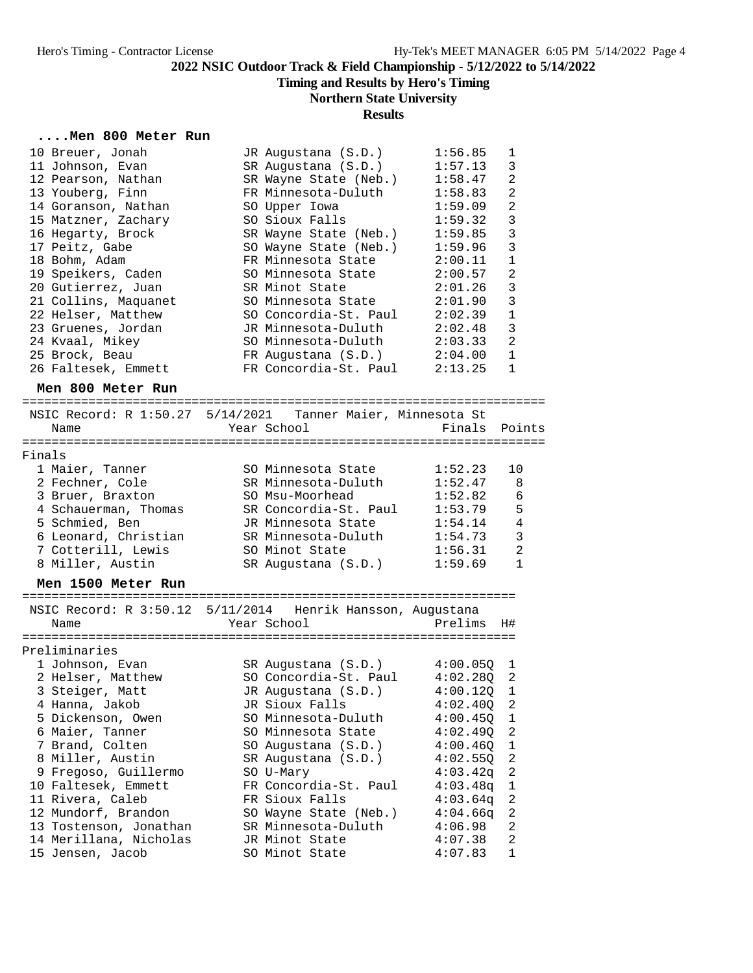**Timing and Results by Hero's Timing**

## **Northern State University**

## **Results**

## **....Men 800 Meter Run**

|  | 10 Breuer, Jonah     | JR Augustana (S.D.)        | 1:56.85 | 1              |
|--|----------------------|----------------------------|---------|----------------|
|  | 11 Johnson, Evan     | SR Augustana (S.D.)        | 1:57.13 | 3              |
|  | 12 Pearson, Nathan   | SR Wayne State (Neb.)      | 1:58.47 | $\overline{2}$ |
|  | 13 Youberg, Finn     | FR Minnesota-Duluth        | 1:58.83 | $\overline{2}$ |
|  | 14 Goranson, Nathan  | SO Upper Iowa              | 1:59.09 | $\overline{2}$ |
|  | 15 Matzner, Zachary  | SO Sioux Falls             | 1:59.32 | 3              |
|  | 16 Hegarty, Brock    | SR Wayne State (Neb.)      | 1:59.85 | 3              |
|  | 17 Peitz, Gabe       | SO Wayne State (Neb.)      | 1:59.96 | 3              |
|  | 18 Bohm, Adam        | FR Minnesota State         | 2:00.11 | $\mathbf{1}$   |
|  | 19 Speikers, Caden   | SO Minnesota State 2:00.57 |         | $\overline{2}$ |
|  | 20 Gutierrez, Juan   | SR Minot State             | 2:01.26 | $\overline{3}$ |
|  | 21 Collins, Maquanet | SO Minnesota State         | 2:01.90 | 3              |
|  | 22 Helser, Matthew   | SO Concordia-St. Paul      | 2:02.39 | $\mathbf{1}$   |
|  | 23 Gruenes, Jordan   | JR Minnesota-Duluth        | 2:02.48 | 3              |
|  | 24 Kvaal, Mikey      | SO Minnesota-Duluth        | 2:03.33 | $\overline{2}$ |
|  | 25 Brock, Beau       | FR Augustana (S.D.)        | 2:04.00 | $\mathbf{1}$   |
|  | 26 Faltesek, Emmett  | FR Concordia-St. Paul      | 2:13.25 | $\mathbf 1$    |
|  |                      |                            |         |                |

# **Men 800 Meter Run**

| Name                 | NSIC Record: R 1:50.27 5/14/2021 Tanner Maier, Minnesota St<br>Year School | Finals  | Points         |
|----------------------|----------------------------------------------------------------------------|---------|----------------|
| Finals               |                                                                            |         |                |
| 1 Maier, Tanner      | SO Minnesota State                                                         | 1:52.23 | 10             |
| 2 Fechner, Cole      | SR Minnesota-Duluth                                                        | 1:52.47 | - 8            |
| 3 Bruer, Braxton     | SO Msu-Moorhead                                                            | 1:52.82 | - 6            |
| 4 Schauerman, Thomas | SR Concordia-St. Paul                                                      | 1:53.79 | 5              |
| 5 Schmied, Ben       | JR Minnesota State                                                         | 1:54.14 | $\overline{4}$ |
| 6 Leonard, Christian | SR Minnesota-Duluth                                                        | 1:54.73 | 3              |
| 7 Cotterill, Lewis   | SO Minot State                                                             | 1:56.31 | $\mathfrak{D}$ |
| 8 Miller, Austin     | SR Augustana (S.D.)                                                        | 1:59.69 |                |

#### **Men 1500 Meter Run**

| NSIC Record: R 3:50.12 5/11/2014 Henrik Hansson, Augustana |                       |              |                |
|------------------------------------------------------------|-----------------------|--------------|----------------|
| Name                                                       | Year School           | Prelims      | H#             |
|                                                            |                       |              |                |
| Preliminaries                                              |                       |              |                |
| 1 Johnson, Evan                                            | SR Augustana (S.D.)   | 4:00.050     | - 1            |
| 2 Helser, Matthew                                          | SO Concordia-St. Paul | 4:02.28Q     | 2              |
| 3 Steiger, Matt                                            | JR Augustana (S.D.)   | $4:00.120$ 1 |                |
| 4 Hanna, Jakob                                             | JR Sioux Falls        | 4:02.400 2   |                |
| 5 Dickenson, Owen                                          | SO Minnesota-Duluth   | $4:00.450$ 1 |                |
| 6 Maier, Tanner                                            | SO Minnesota State    | 4:02.490 2   |                |
| 7 Brand, Colten                                            | SO Augustana (S.D.)   | 4:00.460 1   |                |
| 8 Miller, Austin                                           | SR Augustana (S.D.)   | 4:02.550 2   |                |
| 9 Fregoso, Guillermo                                       | SO U-Mary             | $4:03.42q$ 2 |                |
| 10 Faltesek, Emmett                                        | FR Concordia-St. Paul | $4:03.48q$ 1 |                |
| 11 Rivera, Caleb                                           | FR Sioux Falls        | $4:03.64$ q  | - 2            |
| 12 Mundorf, Brandon                                        | SO Wayne State (Neb.) | 4:04.66q     | $\overline{2}$ |
| 13 Tostenson, Jonathan                                     | SR Minnesota-Duluth   | 4:06.98      | 2              |
| 14 Merillana, Nicholas                                     | JR Minot State        | 4:07.38      | 2              |
| 15 Jensen, Jacob                                           | SO Minot State        | 4:07.83      | $\mathbf{1}$   |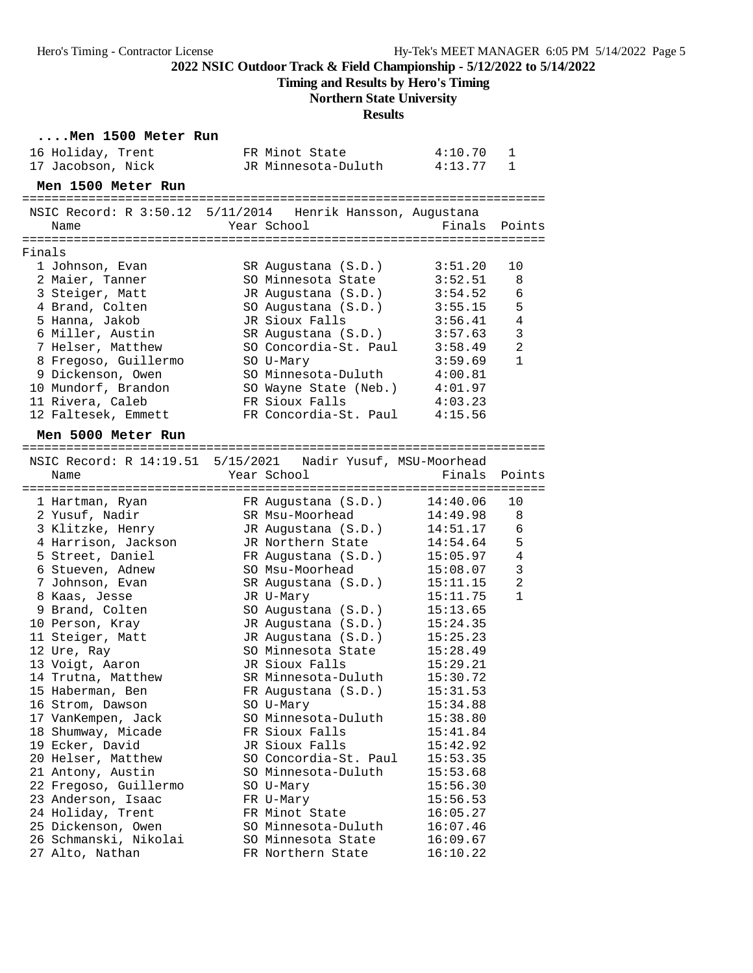**Timing and Results by Hero's Timing**

# **Northern State University**

## **Results**

|        | Men 1500 Meter Run                                                  |                             |                      |                |
|--------|---------------------------------------------------------------------|-----------------------------|----------------------|----------------|
|        | 16 Holiday, Trent                                                   | FR Minot State              | 4:10.70              | 1              |
|        | 17 Jacobson, Nick                                                   | JR Minnesota-Duluth 4:13.77 |                      | $\mathbf 1$    |
|        | Men 1500 Meter Run                                                  |                             |                      |                |
|        | NSIC Record: R 3:50.12 5/11/2014 Henrik Hansson, Augustana          |                             |                      |                |
|        | Name                                                                | Year School                 | Finals               | Points         |
|        |                                                                     |                             |                      |                |
| Finals |                                                                     |                             |                      |                |
|        | 1 Johnson, Evan                                                     | SR Augustana (S.D.)         | 3:51.20              | 10             |
|        | 2 Maier, Tanner                                                     | SO Minnesota State          | 3:52.51              | 8              |
|        | 3 Steiger, Matt                                                     | JR Augustana (S.D.)         | 3:54.52              | 6              |
|        | 4 Brand, Colten                                                     | SO Augustana (S.D.)         | 3:55.15              | 5              |
|        | 5 Hanna, Jakob                                                      | JR Sioux Falls              | 3:56.41              | 4              |
|        | 6 Miller, Austin                                                    | SR Augustana (S.D.)         | 3:57.63              | $\mathbf{3}$   |
|        | 7 Helser, Matthew                                                   | SO Concordia-St. Paul       | 3:58.49              | $\overline{2}$ |
|        | 8 Fregoso, Guillermo                                                | SO U-Mary                   | 3:59.69              | $\mathbf{1}$   |
|        | 9 Dickenson, Owen                                                   | SO Minnesota-Duluth         | 4:00.81              |                |
|        | 10 Mundorf, Brandon                                                 | SO Wayne State (Neb.)       | 4:01.97              |                |
|        | 11 Rivera, Caleb                                                    | FR Sioux Falls              | 4:03.23              |                |
|        | 12 Faltesek, Emmett                                                 | FR Concordia-St. Paul       | 4:15.56              |                |
|        | Men 5000 Meter Run                                                  |                             |                      |                |
|        |                                                                     |                             |                      |                |
|        | NSIC Record: R 14:19.51 5/15/2021 Nadir Yusuf, MSU-Moorhead<br>Name | Year School                 | Finals               | Points         |
|        |                                                                     |                             |                      |                |
|        | 1 Hartman, Ryan                                                     | FR Augustana (S.D.)         | 14:40.06             | 10             |
|        | 2 Yusuf, Nadir                                                      | SR Msu-Moorhead             | 14:49.98             | 8              |
|        | 3 Klitzke, Henry                                                    | JR Augustana (S.D.)         | 14:51.17             | 6              |
|        | 4 Harrison, Jackson                                                 | JR Northern State           | 14:54.64             | 5              |
|        | 5 Street, Daniel                                                    | FR Augustana (S.D.)         | 15:05.97             | 4              |
|        | 6 Stueven, Adnew                                                    | SO Msu-Moorhead             | 15:08.07             | $\mathbf{3}$   |
|        | 7 Johnson, Evan                                                     | SR Augustana (S.D.)         | 15:11.15             | $\overline{2}$ |
|        | 8 Kaas, Jesse                                                       | JR U-Mary                   | 15:11.75             | $\mathbf{1}$   |
|        | 9 Brand, Colten                                                     | SO Augustana (S.D.)         | 15:13.65             |                |
|        | 10 Person, Kray                                                     | JR Augustana (S.D.)         | 15:24.35             |                |
|        | 11 Steiger, Matt                                                    | JR Augustana (S.D.)         | 15:25.23             |                |
|        | 12 Ure, Ray                                                         | SO Minnesota State          | 15:28.49             |                |
|        | 13 Voigt, Aaron                                                     | JR Sioux Falls              | 15:29.21             |                |
|        | 14 Trutna, Matthew                                                  | SR Minnesota-Duluth         | 15:30.72             |                |
|        | 15 Haberman, Ben                                                    | FR Augustana (S.D.)         | 15:31.53             |                |
|        | 16 Strom, Dawson                                                    | SO U-Mary                   | 15:34.88             |                |
|        | 17 VanKempen, Jack                                                  | SO Minnesota-Duluth         | 15:38.80             |                |
|        | 18 Shumway, Micade                                                  | FR Sioux Falls              | 15:41.84             |                |
|        | 19 Ecker, David                                                     | JR Sioux Falls              | 15:42.92             |                |
|        | 20 Helser, Matthew                                                  | SO Concordia-St. Paul       | 15:53.35             |                |
|        | 21 Antony, Austin                                                   | SO Minnesota-Duluth         | 15:53.68             |                |
|        | 22 Fregoso, Guillermo                                               | SO U-Mary                   | 15:56.30<br>15:56.53 |                |
|        | 23 Anderson, Isaac<br>24 Holiday, Trent                             | FR U-Mary<br>FR Minot State |                      |                |
|        | 25 Dickenson, Owen                                                  | SO Minnesota-Duluth         | 16:05.27<br>16:07.46 |                |
|        | 26 Schmanski, Nikolai                                               | SO Minnesota State          | 16:09.67             |                |
|        | 27 Alto, Nathan                                                     | FR Northern State           | 16:10.22             |                |
|        |                                                                     |                             |                      |                |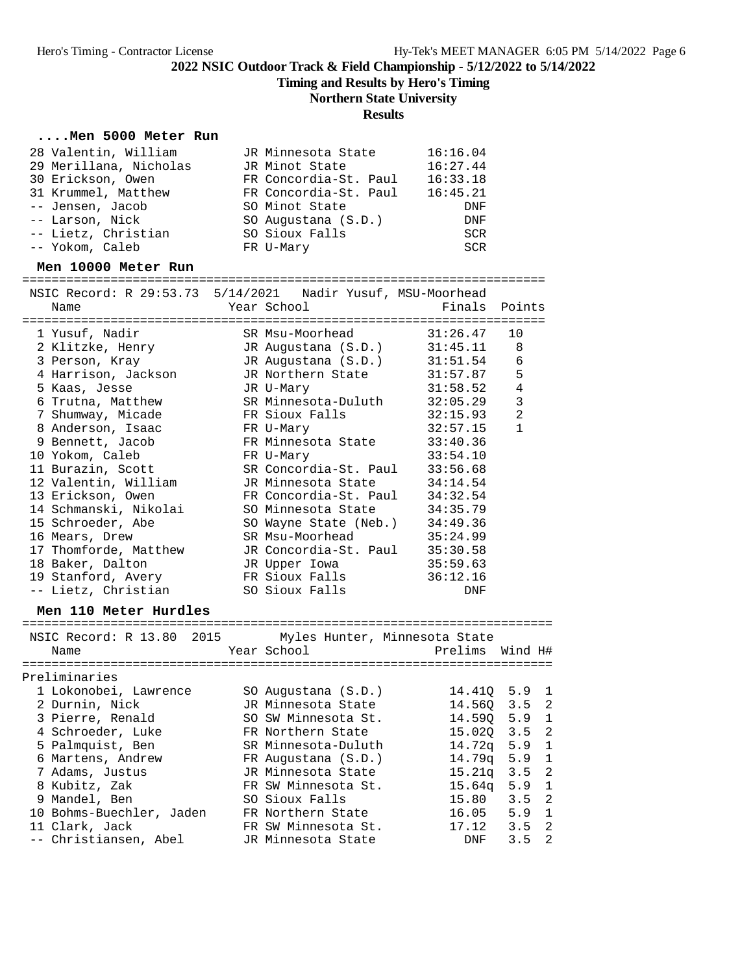**Timing and Results by Hero's Timing**

## **Northern State University**

## **Results**

## **....Men 5000 Meter Run**

| 28 Valentin, William   | JR Minnesota State    | 16:16.04   |
|------------------------|-----------------------|------------|
| 29 Merillana, Nicholas | JR Minot State        | 16:27.44   |
| 30 Erickson, Owen      | FR Concordia-St. Paul | 16:33.18   |
| 31 Krummel, Matthew    | FR Concordia-St. Paul | 16:45.21   |
| -- Jensen, Jacob       | SO Minot State        | DNF        |
| -- Larson, Nick        | SO Augustana (S.D.)   | DNF        |
| -- Lietz, Christian    | SO Sioux Falls        | <b>SCR</b> |
| -- Yokom, Caleb        | FR U-Mary             | SCR        |
|                        |                       |            |

## **Men 10000 Meter Run**

=======================================================================

| NSIC Record: R 29:53.73 5/14/2021 Nadir Yusuf, MSU-Moorhead                                                                 |                |               |                |
|-----------------------------------------------------------------------------------------------------------------------------|----------------|---------------|----------------|
| Name                                                                                                                        | Year School    | Finals Points |                |
|                                                                                                                             |                |               |                |
|                                                                                                                             |                |               | 10             |
| 2 Klitzke, Henry TR Augustana (S.D.) 31:45.11 8                                                                             |                |               |                |
| 3 Person, Kray             JR Augustana (S.D.)       31:51.54     6                                                         |                |               |                |
| 4 Harrison, Jackson JR Northern State 31:57.87 5                                                                            |                |               |                |
| 5 Kaas, Jesse                         JR U-Mary                                                                             |                | 31:58.52      | $\sqrt{4}$     |
| 6 Trutna, Matthew SR Minnesota-Duluth 32:05.29<br>7 Shumway, Micade FR Sioux Falls 32:15.93                                 |                |               | $\mathbf{3}$   |
|                                                                                                                             |                |               | $\overline{2}$ |
| 8 Anderson, Isaac Nary FR U-Mary                                                                                            |                | 32:57.15      | $\mathbf{1}$   |
|                                                                                                                             |                |               |                |
| 9 Bennett, Jacob<br>10 Yokom, Caleb<br>10 Yokom, Caleb<br>10 Yokom, Caleb<br>10 Yokom, Caleb<br>10 Yokom, Caleb<br>23:54.10 |                |               |                |
| 11 Burazin, Scott SR Concordia-St. Paul 33:56.68                                                                            |                |               |                |
| 12 Valentin, William JR Minnesota State 34:14.54                                                                            |                |               |                |
| 13 Erickson, Owen FR Concordia-St. Paul                                                                                     |                | 34:32.54      |                |
| 14 Schmanski, Nikolai SO Minnesota State 34:35.79                                                                           |                |               |                |
| 15 Schroeder, Abe 50 Wayne State (Neb.) 34:49.36                                                                            |                |               |                |
| 16 Mears, Drew SR Msu-Moorhead 35:24.99                                                                                     |                |               |                |
| 17 Thomforde, Matthew JR Concordia-St. Paul 35:30.58                                                                        |                |               |                |
| 18 Baker, Dalton GR Upper Iowa 35:59.63                                                                                     |                |               |                |
|                                                                                                                             |                | 36:12.16      |                |
| -- Lietz, Christian                                                                                                         | SO Sioux Falls | DNF           |                |

### **Men 110 Meter Hurdles**

| NSIC Record: R 13.80 2015<br>Name | Myles Hunter, Minnesota State<br>Year School | Prelims Wind H# |               |                |
|-----------------------------------|----------------------------------------------|-----------------|---------------|----------------|
| Preliminaries                     |                                              |                 |               |                |
| 1 Lokonobei, Lawrence             | SO Augustana (S.D.)                          | 14.410          | $5.9 \quad 1$ |                |
| 2 Durnin, Nick                    | JR Minnesota State                           | 14.560          | $3.5 \quad 2$ |                |
| 3 Pierre, Renald                  | SO SW Minnesota St.                          | 14.590          | 5.9           | 1              |
| 4 Schroeder, Luke                 | FR Northern State                            | 15.020          | $3.5 \quad 2$ |                |
| 5 Palmquist, Ben                  | SR Minnesota-Duluth                          | 14.72a          | 5.9           | -1             |
| 6 Martens, Andrew                 | FR Augustana (S.D.)                          | 14.79a          | $5.9 \quad 1$ |                |
| 7 Adams, Justus                   | JR Minnesota State                           | 15.21a          | $3.5 \quad 2$ |                |
| 8 Kubitz, Zak                     | FR SW Minnesota St.                          | $15.64\sigma$   | $5.9 \quad 1$ |                |
| 9 Mandel, Ben                     | SO Sioux Falls                               | 15.80           | $3.5 \quad 2$ |                |
| 10 Bohms-Buechler, Jaden          | FR Northern State                            | 16.05           | 5.9           | $\overline{1}$ |
| 11 Clark, Jack                    | FR SW Minnesota St.                          | 17.12           | 3.5           | -2             |
| -- Christiansen, Abel             | JR Minnesota State                           | <b>DNF</b>      | 3.5           | 2              |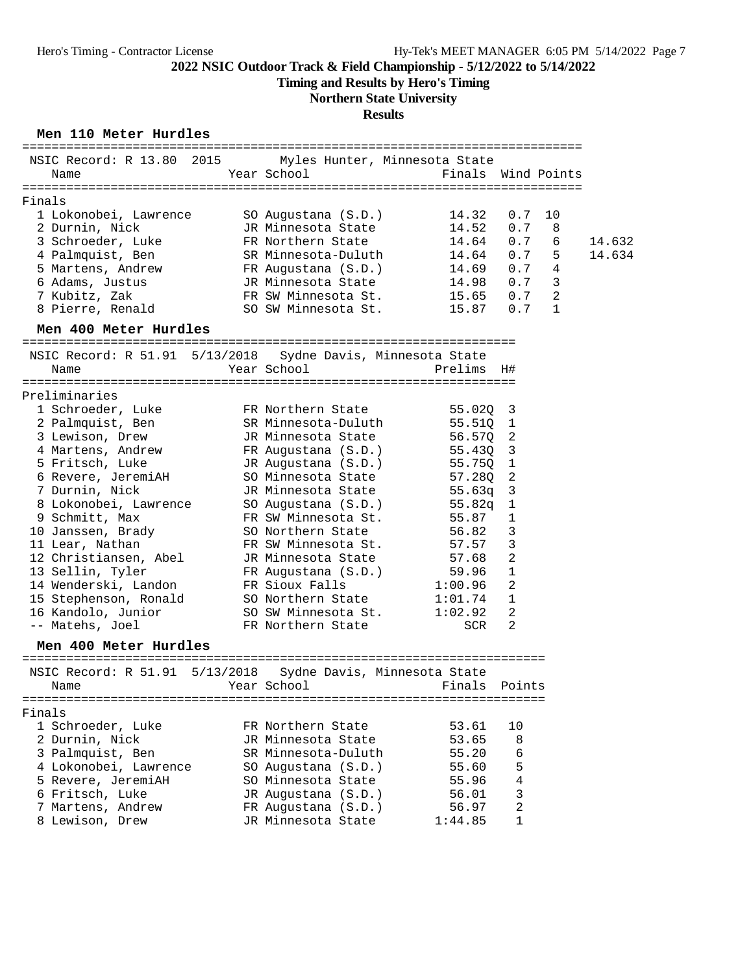**Timing and Results by Hero's Timing**

## **Northern State University**

## **Results**

### **Men 110 Meter Hurdles**

|        | NSIC Record: R 13.80 2015             |           | Myles Hunter, Minnesota State |                    |             |                |        |
|--------|---------------------------------------|-----------|-------------------------------|--------------------|-------------|----------------|--------|
|        | Name                                  |           | Year School                   | Finals Wind Points |             |                |        |
| Finals |                                       |           |                               |                    |             |                |        |
|        | 1 Lokonobei, Lawrence                 |           | SO Augustana (S.D.)           | 14.32              | 0.7         | 10             |        |
|        | 2 Durnin, Nick                        |           | JR Minnesota State            | 14.52              | 0.7         | 8              |        |
|        | 3 Schroeder, Luke                     |           | FR Northern State             | 14.64              | 0.7         | 6              | 14.632 |
|        |                                       |           |                               |                    | 0.7         | 5              | 14.634 |
|        | 4 Palmquist, Ben<br>5 Martens, Andrew |           | SR Minnesota-Duluth           | 14.64<br>14.69     | 0.7         |                |        |
|        |                                       |           | FR Augustana (S.D.)           |                    |             | 4              |        |
|        | 6 Adams, Justus                       |           | JR Minnesota State            | 14.98              | 0.7         | 3              |        |
|        | 7 Kubitz, Zak                         |           | FR SW Minnesota St.           | 15.65              | 0.7         | $\overline{a}$ |        |
|        | 8 Pierre, Renald                      |           | SO SW Minnesota St.           | 15.87              | 0.7         | 1              |        |
|        | Men 400 Meter Hurdles                 |           |                               |                    |             |                |        |
|        | NSIC Record: R 51.91 5/13/2018        |           | Sydne Davis, Minnesota State  |                    |             |                |        |
|        | Name                                  |           | Year School                   | Prelims            | H#          |                |        |
|        |                                       |           |                               |                    |             |                |        |
|        | Preliminaries                         |           |                               |                    |             |                |        |
|        | 1 Schroeder, Luke                     |           | FR Northern State             | 55.02Q             | 3           |                |        |
|        | 2 Palmquist, Ben                      |           | SR Minnesota-Duluth           | 55.510             | 1           |                |        |
|        | 3 Lewison, Drew                       |           | JR Minnesota State            | 56.570             | 2           |                |        |
|        | 4 Martens, Andrew                     |           | FR Augustana (S.D.)           | 55.43Q             | 3           |                |        |
|        | 5 Fritsch, Luke                       |           | JR Augustana (S.D.)           | 55.75Q             | $\mathbf 1$ |                |        |
|        | 6 Revere, JeremiAH                    |           | SO Minnesota State            | 57.28Q             | 2           |                |        |
|        | 7 Durnin, Nick                        |           | JR Minnesota State            | 55.63q             | 3           |                |        |
|        | 8 Lokonobei, Lawrence                 |           | SO Augustana (S.D.)           | 55.82q             | 1           |                |        |
|        | 9 Schmitt, Max                        |           | FR SW Minnesota St.           | 55.87              | 1           |                |        |
|        | 10 Janssen, Brady                     |           | SO Northern State             | 56.82              | 3           |                |        |
|        | 11 Lear, Nathan                       |           | FR SW Minnesota St.           | 57.57              | 3           |                |        |
|        | 12 Christiansen, Abel                 |           | JR Minnesota State            | 57.68              | 2           |                |        |
|        | 13 Sellin, Tyler                      |           | FR Augustana (S.D.)           | 59.96              | 1           |                |        |
|        | 14 Wenderski, Landon                  |           | FR Sioux Falls                | 1:00.96            | 2           |                |        |
|        | 15 Stephenson, Ronald                 |           | SO Northern State             | 1:01.74            | 1           |                |        |
|        | 16 Kandolo, Junior                    |           | SO SW Minnesota St.           | 1:02.92            | 2           |                |        |
|        | -- Matehs, Joel                       |           | FR Northern State             | SCR                | 2           |                |        |
|        | Men 400 Meter Hurdles                 |           |                               |                    |             |                |        |
|        |                                       |           |                               |                    |             |                |        |
|        | NSIC Record: R 51.91                  | 5/13/2018 | Sydne Davis, Minnesota State  |                    |             |                |        |
|        | Name                                  |           | Year School                   | Finals             | Points      |                |        |
|        |                                       |           |                               |                    |             |                |        |
| Finals |                                       |           |                               |                    |             |                |        |
|        | 1 Schroeder, Luke                     |           | FR Northern State             | 53.61              | 10          |                |        |
|        | 2 Durnin, Nick                        |           | JR Minnesota State            | 53.65              | 8           |                |        |
|        | 3 Palmquist, Ben                      |           | SR Minnesota-Duluth           | 55.20              | 6           |                |        |
|        | 4 Lokonobei, Lawrence                 |           | SO Augustana (S.D.)           | 55.60              | 5           |                |        |
|        | 5 Revere, JeremiAH                    |           | SO Minnesota State            | 55.96              | 4           |                |        |
|        | 6 Fritsch, Luke                       |           | JR Augustana (S.D.)           | 56.01              | 3           |                |        |
|        | 7 Martens, Andrew                     |           | FR Augustana (S.D.)           | 56.97              | 2           |                |        |
|        | 8 Lewison, Drew                       |           | JR Minnesota State            | 1:44.85            | 1           |                |        |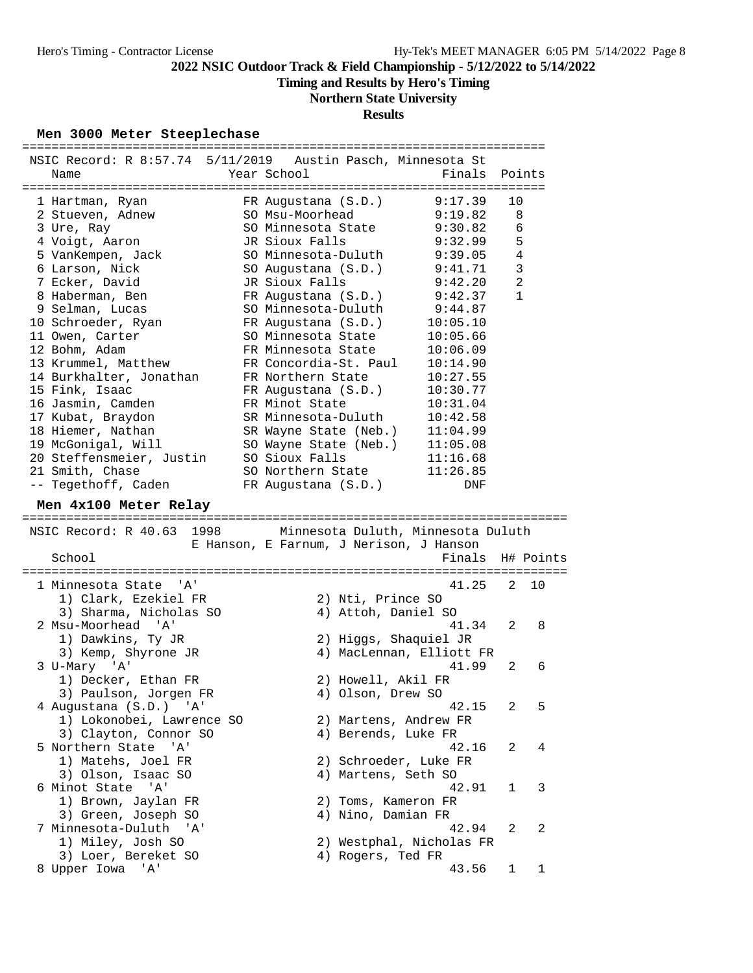**Timing and Results by Hero's Timing**

# **Northern State University**

## **Results**

#### **Men 3000 Meter Steeplechase**

| NSIC Record: R 8:57.74 5/11/2019 Austin Pasch, Minnesota St |                                           |                          |                     |           |
|-------------------------------------------------------------|-------------------------------------------|--------------------------|---------------------|-----------|
| Name                                                        | Year School                               | Finals                   |                     | Points    |
|                                                             |                                           |                          |                     |           |
| 1 Hartman, Ryan                                             | FR Augustana (S.D.)                       | 9:17.39                  | 10                  |           |
| 2 Stueven, Adnew                                            | SO Msu-Moorhead                           | 9:19.82                  | 8                   |           |
| 3 Ure, Ray                                                  | SO Minnesota State                        | 9:30.82                  | 6                   |           |
| 4 Voigt, Aaron                                              | JR Sioux Falls                            | 9:32.99                  | 5                   |           |
| 5 VanKempen, Jack                                           | SO Minnesota-Duluth                       | 9:39.05                  | $\overline{4}$      |           |
| 6 Larson, Nick                                              | SO Augustana (S.D.)<br>JR Sioux Falls     | 9:41.71                  | 3<br>$\overline{a}$ |           |
| 7 Ecker, David<br>8 Haberman, Ben                           |                                           | 9:42.20<br>9:42.37       | 1                   |           |
|                                                             | FR Augustana (S.D.)                       | 9:44.87                  |                     |           |
| 9 Selman, Lucas                                             | SO Minnesota-Duluth                       | 10:05.10                 |                     |           |
| 10 Schroeder, Ryan                                          | FR Augustana (S.D.)<br>SO Minnesota State | 10:05.66                 |                     |           |
| 11 Owen, Carter<br>12 Bohm, Adam                            | FR Minnesota State                        | 10:06.09                 |                     |           |
| 13 Krummel, Matthew                                         | FR Concordia-St. Paul                     | 10:14.90                 |                     |           |
| 14 Burkhalter, Jonathan                                     | FR Northern State                         | 10:27.55                 |                     |           |
| 15 Fink, Isaac                                              | FR Augustana (S.D.)                       | 10:30.77                 |                     |           |
| 16 Jasmin, Camden                                           | FR Minot State                            | 10:31.04                 |                     |           |
| 17 Kubat, Braydon                                           | SR Minnesota-Duluth                       | 10:42.58                 |                     |           |
| 18 Hiemer, Nathan                                           | SR Wayne State (Neb.)                     | 11:04.99                 |                     |           |
| 19 McGonigal, Will                                          | SO Wayne State (Neb.)                     | 11:05.08                 |                     |           |
| 20 Steffensmeier, Justin                                    | SO Sioux Falls                            | 11:16.68                 |                     |           |
| 21 Smith, Chase                                             | SO Northern State                         | 11:26.85                 |                     |           |
| -- Tegethoff, Caden                                         | FR Augustana (S.D.)                       | DNF                      |                     |           |
|                                                             |                                           |                          |                     |           |
| Men 4x100 Meter Relay                                       |                                           |                          |                     |           |
|                                                             |                                           |                          |                     |           |
|                                                             |                                           |                          |                     |           |
| NSIC Record: R 40.63 1998                                   | Minnesota Duluth, Minnesota Duluth        |                          |                     |           |
|                                                             | E Hanson, E Farnum, J Nerison, J Hanson   |                          |                     |           |
| School                                                      |                                           | Finals                   |                     | H# Points |
| 1 Minnesota State<br>"A'                                    |                                           | 41.25                    | 2                   | 10        |
|                                                             |                                           |                          |                     |           |
| 1) Clark, Ezekiel FR                                        | 2) Nti, Prince SO                         |                          |                     |           |
| 3) Sharma, Nicholas SO<br>2 Msu-Moorhead<br>' A '           | 4) Attoh, Daniel SO                       | 41.34                    | 2                   | 8         |
| 1) Dawkins, Ty JR                                           |                                           |                          |                     |           |
|                                                             | 2) Higgs, Shaquiel JR                     | 4) MacLennan, Elliott FR |                     |           |
| 3) Kemp, Shyrone JR<br>3 U-Mary 'A'                         |                                           | 41.99                    | 2                   | 6         |
|                                                             |                                           |                          |                     |           |
| 1) Decker, Ethan FR                                         | 2) Howell, Akil FR                        |                          |                     |           |
| 3) Paulson, Jorgen FR                                       | 4) Olson, Drew SO                         | 42.15                    | 2                   | 5         |
| 4 Augustana (S.D.) 'A'<br>1) Lokonobei, Lawrence SO         | 2) Martens, Andrew FR                     |                          |                     |           |
|                                                             |                                           |                          |                     |           |
| 3) Clayton, Connor SO<br>" A '                              | 4) Berends, Luke FR                       | 42.16                    | 2                   | 4         |
| 5 Northern State<br>1) Matehs, Joel FR                      | 2) Schroeder, Luke FR                     |                          |                     |           |
|                                                             |                                           |                          |                     |           |
| 3) Olson, Isaac SO<br>6 Minot State 'A'                     | 4) Martens, Seth SO                       | 42.91                    | 1                   | 3         |
| 1) Brown, Jaylan FR                                         | 2) Toms, Kameron FR                       |                          |                     |           |
| 3) Green, Joseph SO                                         | 4) Nino, Damian FR                        |                          |                     |           |
| 7 Minnesota-Duluth<br>'' A '                                |                                           | 42.94                    | 2                   | 2         |
| 1) Miley, Josh SO                                           |                                           |                          |                     |           |
| 3) Loer, Bereket SO                                         | 4) Rogers, Ted FR                         | 2) Westphal, Nicholas FR |                     |           |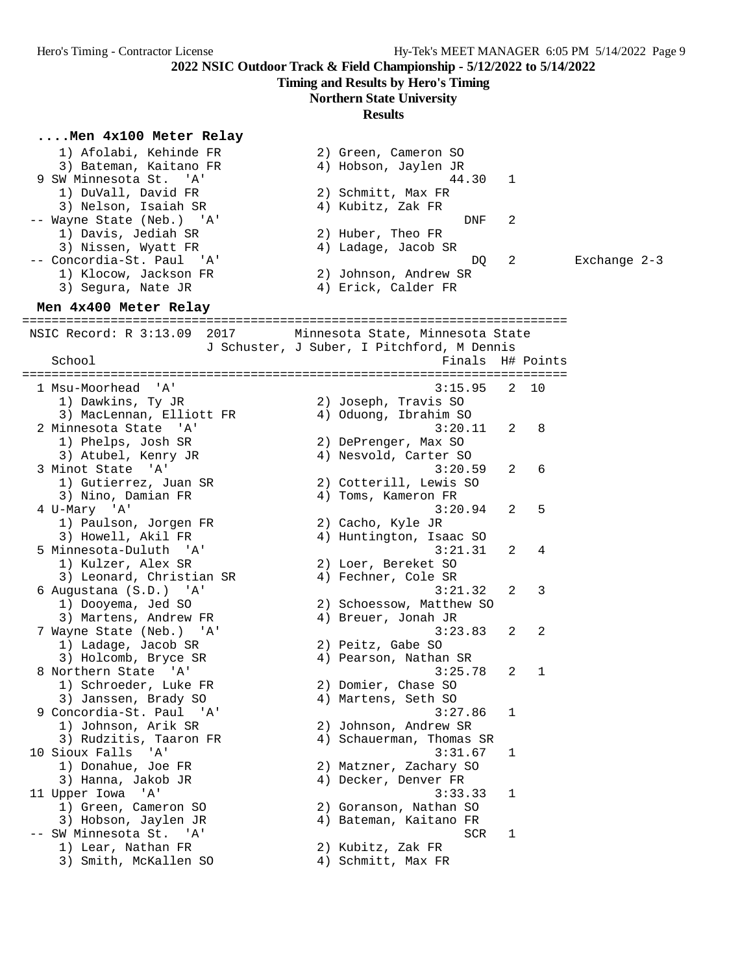**Timing and Results by Hero's Timing**

### **Northern State University**

#### **Results**

**....Men 4x100 Meter Relay** 1) Afolabi, Kehinde FR 2) Green, Cameron SO 3) Bateman, Kaitano FR (4) Hobson, Jaylen JR 9 SW Minnesota St. 'A' 1999 120 121 122 123 124 125 126 127 128 129 120 121 122 123 124 125 126 127 127 127 12 1) DuVall, David FR 2) Schmitt, Max FR 3) Nelson, Isaiah SR 4) Kubitz, Zak FR -- Wayne State (Neb.) 'A' DNF 2 1) Davis, Jediah SR 2) Huber, Theo FR 3) Nissen, Wyatt FR 4) Ladage, Jacob SR -- Concordia-St. Paul 'A' DQ 2 Exchange 2-3 1) Klocow, Jackson FR 2) Johnson, Andrew SR 3) Segura, Nate JR (4) Erick, Calder FR **Men 4x400 Meter Relay** ========================================================================== NSIC Record: R 3:13.09 2017 Minnesota State, Minnesota State J Schuster, J Suber, I Pitchford, M Dennis School Finals H# Points ========================================================================== 1 Msu-Moorhead 'A' 3:15.95 2 10 1) Dawkins, Ty JR 2) Joseph, Travis SO 3) MacLennan, Elliott FR 4) Oduong, Ibrahim SO 2 Minnesota State 'A' 3:20.11 2 8 1) Phelps, Josh SR 2) DePrenger, Max SO 3) Atubel, Kenry JR 4) Nesvold, Carter SO 3 Minot State 'A' 3:20.59 2 6 1) Gutierrez, Juan SR 2) Cotterill, Lewis SO 3) Nino, Damian FR 4) Toms, Kameron FR 4 U-Mary 'A' 3:20.94 2 5 1) Paulson, Jorgen FR 2) Cacho, Kyle JR 3) Howell, Akil FR 4) Huntington, Isaac SO 5 Minnesota-Duluth 'A' 3:21.31 2 4 1) Kulzer, Alex SR 2) Loer, Bereket SO 3) Leonard, Christian SR (4) Fechner, Cole SR 6 Augustana (S.D.) 'A' 3:21.32 2 3 1) Dooyema, Jed SO 2) Schoessow, Matthew SO 3) Martens, Andrew FR 4) Breuer, Jonah JR 7 Wayne State (Neb.) 'A' 3:23.83 2 2 1) Ladage, Jacob SR 2) Peitz, Gabe SO 3) Holcomb, Bryce SR 4) Pearson, Nathan SR 8 Northern State 'A' 3:25.78 2 1 1) Schroeder, Luke FR 2) Domier, Chase SO 3) Janssen, Brady SO 4) Martens, Seth SO 9 Concordia-St. Paul 'A' 3:27.86 1 1) Johnson, Arik SR 2) Johnson, Andrew SR 3) Rudzitis, Taaron FR 4) Schauerman, Thomas SR 10 Sioux Falls 'A' 3:31.67 1 1) Donahue, Joe FR 2) Matzner, Zachary SO 3) Hanna, Jakob JR 4) Decker, Denver FR 11 Upper Iowa 'A' 3:33.33 1 1) Green, Cameron SO 2) Goranson, Nathan SO 3) Hobson, Jaylen JR 4) Bateman, Kaitano FR -- SW Minnesota St. 'A' SCR 1 1) Lear, Nathan FR 2) Kubitz, Zak FR

3) Smith, McKallen SO 4) Schmitt, Max FR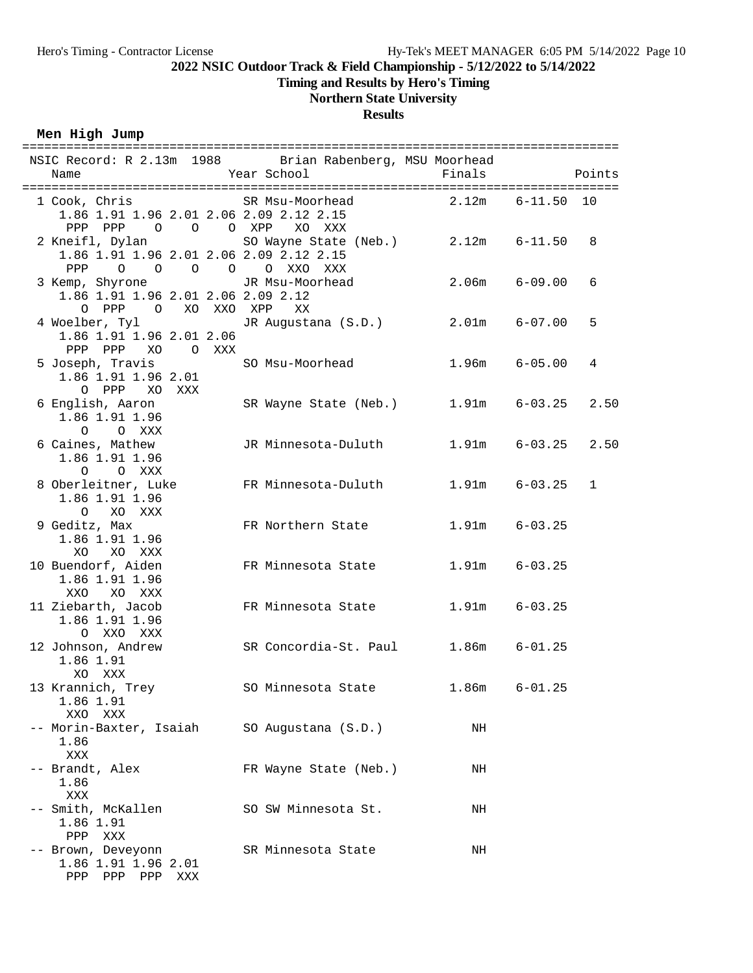**Timing and Results by Hero's Timing**

## **Northern State University**

#### **Results**

**Men High Jump**

| NSIC Record: R 2.13m 1988 Brian Rabenberg, MSU Moorhead<br>Name                                                                   | Year School                         | Finals            | Points                                   |
|-----------------------------------------------------------------------------------------------------------------------------------|-------------------------------------|-------------------|------------------------------------------|
| 1 Cook, Chris SR Msu-Moorhead<br>1.86 1.91 1.96 2.01 2.06 2.09 2.12 2.15<br>PPP PPP 0 0 0 XPP                                     | XO XXX                              | 2.12m             | $6 - 11.50 10$                           |
| 2 Kneifl, Dylan<br>1.86 1.91 1.96 2.01 2.06 2.09 2.12 2.15<br>0 0 0 0 0 XXO XXX<br>PPP                                            | SO Wayne State (Neb.) 2.12m 6-11.50 |                   | 8                                        |
| 3 Kemp, Shyrone           JR Msu-Moorhead           2.06m     6-09.00<br>1.86 1.91 1.96 2.01 2.06 2.09 2.12<br>0 PPP 0 XO XXO XPP | XX                                  |                   | 6                                        |
| 4 Woelber, Tyl<br>1.86 1.91 1.96 2.01 2.06<br>PPP PPP XO OXXX                                                                     | JR Augustana (S.D.) 2.01m 6-07.00   |                   | 5                                        |
| 5 Joseph, Travis<br>1.86 1.91 1.96 2.01<br>O PPP XO XXX                                                                           | SO Msu-Moorhead                     | $1.96m$ $6-05.00$ | 4                                        |
| 6 English, Aaron<br>1.86 1.91 1.96<br>O O XXX                                                                                     | SR Wayne State (Neb.) 1.91m 6-03.25 |                   | 2.50                                     |
| 6 Caines, Mathew<br>1.86 1.91 1.96<br>O O XXX<br>8 Oberleitner, Luke FR Minnesota-Duluth                                          | JR Minnesota-Duluth                 | $1.91m$ $6-03.25$ | $1.91m$ $6-03.25$<br>2.50<br>$\mathbf 1$ |
| 1.86 1.91 1.96<br>O XO XXX<br>9 Geditz, Max                                                                                       | FR Northern State                   | $1.91m$ $6-03.25$ |                                          |
| 1.86 1.91 1.96<br>XO XO XXX<br>10 Buendorf, Aiden                                                                                 | FR Minnesota State                  | $1.91m$ $6-03.25$ |                                          |
| 1.86 1.91 1.96<br>XO XXX<br>XXO<br>11 Ziebarth, Jacob                                                                             | FR Minnesota State                  | $1.91m$ $6-03.25$ |                                          |
| 1.86 1.91 1.96<br>O XXO XXX<br>12 Johnson, Andrew                                                                                 | SR Concordia-St. Paul 1.86m         |                   | $6 - 01.25$                              |
| 1.86 1.91<br>XO XXX<br>13 Krannich, Trey                                                                                          | SO Minnesota State                  | 1.86m             | $6 - 01.25$                              |
| 1.86 1.91<br>XXO<br>XXX                                                                                                           |                                     |                   |                                          |
| -- Morin-Baxter, Isaiah<br>1.86<br>XXX                                                                                            | SO Augustana (S.D.)                 | NH                |                                          |
| -- Brandt, Alex<br>1.86<br>XXX                                                                                                    | FR Wayne State (Neb.)               | NH                |                                          |
| Smith, McKallen<br>1.86 1.91<br>PPP XXX                                                                                           | SO SW Minnesota St.                 | NH                |                                          |
| -- Brown, Deveyonn<br>1.86 1.91 1.96 2.01<br>PPP PPP PPP XXX                                                                      | SR Minnesota State                  | NH                |                                          |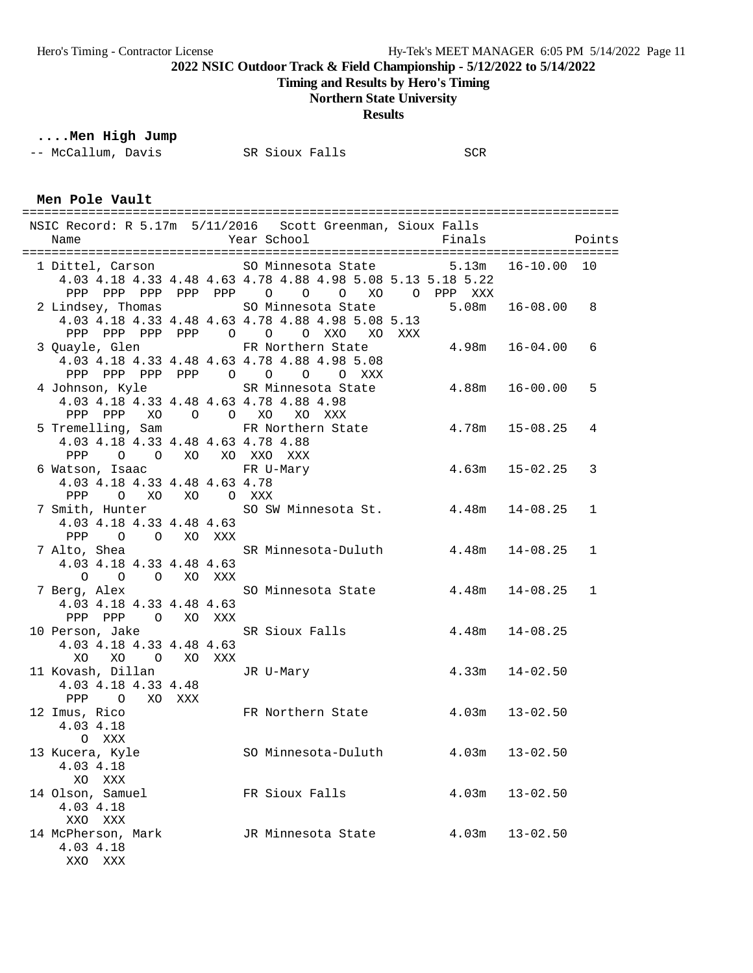**Timing and Results by Hero's Timing**

## **Northern State University**

**Results**

# **....Men High Jump**

| -- McCallum, Davis<br>SR Sioux Falls | SCR |
|--------------------------------------|-----|
|--------------------------------------|-----|

**Men Pole Vault**

| Name                                                             |                           | NSIC Record: R 5.17m 5/11/2016 Scott Greenman, Sioux Falls<br>Year School                                         | Finals                | Points       |
|------------------------------------------------------------------|---------------------------|-------------------------------------------------------------------------------------------------------------------|-----------------------|--------------|
|                                                                  |                           |                                                                                                                   |                       |              |
|                                                                  |                           | 1 Dittel, Carson SO Minnesota State 5.13m<br>4.03 4.18 4.33 4.48 4.63 4.78 4.88 4.98 5.08 5.13 5.18 5.22          | $16 - 10.00$ 10       |              |
| 2 Lindsey, Thomas                                                |                           | PPP PPP PPP PPP PPP 0 0 0 XO 0 PPP XXX<br>SO Minnesota State<br>4.03 4.18 4.33 4.48 4.63 4.78 4.88 4.98 5.08 5.13 | $5.08m$ $16-08.00$ 8  |              |
|                                                                  |                           | PPP PPP PPP PPP 0 0 0 XXO XO XXX                                                                                  |                       |              |
|                                                                  |                           | 3 Quayle, Glen FR Northern State<br>4.03 4.18 4.33 4.48 4.63 4.78 4.88 4.98 5.08                                  | $4.98m$ $16-04.00$    | 6            |
|                                                                  |                           | PPP PPP PPP PPP 0 0 0 0 XXX                                                                                       |                       |              |
|                                                                  |                           | 4 Johnson, Kyle SR Minnesota State<br>4.03 4.18 4.33 4.48 4.63 4.78 4.88 4.98                                     | $4.88m$ $16-00.00$    | 5            |
|                                                                  |                           | PPP PPP XO O O XO XO XXX                                                                                          |                       | 4            |
| 4.03 4.18 4.33 4.48 4.63 4.78 4.88                               |                           | 5 Tremelling, Sam FR Northern State 4.78m 15-08.25                                                                |                       |              |
| PPP 0 0 XO XO XXO XXX                                            |                           |                                                                                                                   |                       |              |
| 6 Watson, Isaac Narry FR U-Mary<br>4.03 4.18 4.33 4.48 4.63 4.78 |                           |                                                                                                                   | $4.63m$ $15-02.25$    | 3            |
| PPP                                                              | O XO XO O XXX             |                                                                                                                   |                       |              |
| 7 Smith, Hunter                                                  |                           | SO SW Minnesota St. 4.48m 14-08.25                                                                                |                       | 1            |
| 4.03 4.18 4.33 4.48 4.63<br>PPP 0 0 XO XXX                       |                           |                                                                                                                   |                       |              |
|                                                                  |                           | 7 Alto, Shea                 SR Minnesota-Duluth         4.48m   14-08.25                                         |                       | $\mathbf 1$  |
| 4.03 4.18 4.33 4.48 4.63                                         |                           |                                                                                                                   |                       |              |
| $\overline{O}$                                                   | O O XO XXX                | 7 Berg, Alex SO Minnesota State 4.48m 14-08.25                                                                    |                       | $\mathbf{1}$ |
| 4.03 4.18 4.33 4.48 4.63                                         |                           |                                                                                                                   |                       |              |
| PPP PPP 0 XO XXX                                                 |                           |                                                                                                                   |                       |              |
| 4.03 4.18 4.33 4.48 4.63                                         |                           | 10 Person, Jake SR Sioux Falls 4.48m 14-08.25                                                                     |                       |              |
| XO<br>XO                                                         | O XO XXX                  |                                                                                                                   |                       |              |
| 11 Kovash, Dillan<br>4.03 4.18 4.33 4.48                         | $\mathcal{L}(\mathbf{r})$ | JR U-Mary                                                                                                         | $4.33m$ $14-02.50$    |              |
| PPP O XO XXX                                                     |                           |                                                                                                                   |                       |              |
| 12 Imus, Rico<br>4.03 4.18<br>O XXX                              |                           | FR Northern State 4.03m 13-02.50                                                                                  |                       |              |
| 13 Kucera, Kyle<br>4.03 4.18                                     |                           | SO Minnesota-Duluth                                                                                               | $4.03m$ $13-02.50$    |              |
| XO<br>XXX<br>14 Olson, Samuel<br>4.03 4.18                       |                           | FR Sioux Falls                                                                                                    | 4.03m<br>$13 - 02.50$ |              |
| XXO XXX                                                          |                           |                                                                                                                   |                       |              |
| 14 McPherson, Mark<br>4.03 4.18                                  |                           | JR Minnesota State                                                                                                | $13 - 02.50$<br>4.03m |              |

XXO XXX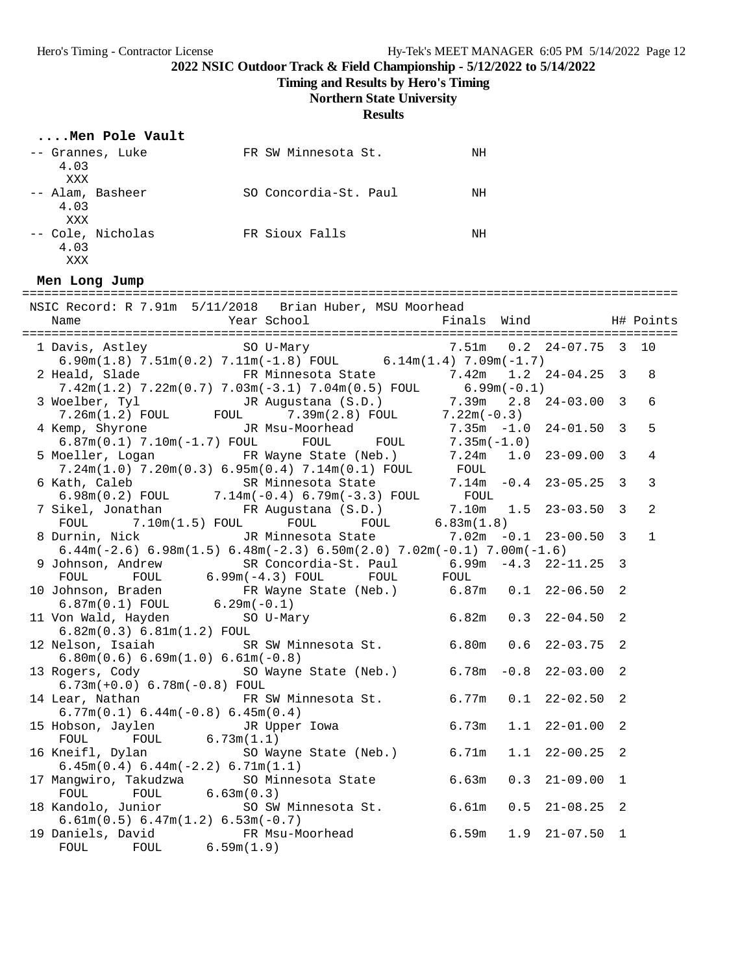**Timing and Results by Hero's Timing**

**Northern State University**

**Results**

| Men Pole Vault                   |                       |    |
|----------------------------------|-----------------------|----|
| -- Grannes, Luke                 | FR SW Minnesota St.   | ΝH |
| 4.03<br>XXX                      |                       |    |
| -- Alam, Basheer<br>4.03         | SO Concordia-St. Paul | ΝH |
| XXX<br>-- Cole, Nicholas<br>4.03 | FR Sioux Falls        | ΝH |
| XXX                              |                       |    |

**Men Long Jump**

| NSIC Record: R 7.91m 5/11/2018 Brian Huber, MSU Moorhead                                                                                                                                                        |                             |                |
|-----------------------------------------------------------------------------------------------------------------------------------------------------------------------------------------------------------------|-----------------------------|----------------|
|                                                                                                                                                                                                                 |                             |                |
| 1 Davis, Astley SO U-Mary                                                                                                                                                                                       | 7.51m  0.2  24-07.75  3  10 |                |
| $6.90m(1.8)$ 7.51m(0.2) 7.11m(-1.8) FOUL 6.14m(1.4) 7.09m(-1.7)                                                                                                                                                 |                             |                |
| 2 Heald, Slade 6 FR Minnesota State 7.42m 1.2 24-04.25 3                                                                                                                                                        |                             | 8              |
|                                                                                                                                                                                                                 |                             |                |
| $7.42m(1.2)$ $7.22m(0.7)$ $7.03m(-3.1)$ $7.04m(0.5)$ FOUL 6.99m(-0.1)                                                                                                                                           |                             | 6              |
|                                                                                                                                                                                                                 |                             |                |
| 3 Woelber, Tyl JR Augustana (S.D.)<br>7.26m(1.2) FOUL FOUL 7.39m(2.8) FOUL 7.25m -1.0 24-01.50 3<br>4 Kemp, Shyrone JR Msu-Moorhead 7.35m -1.0 24-01.50 3<br>6.87m(0.1) 7.10m(-1.7) FOUL FOUL FOUL 7.35m (-1.0) |                             | 5              |
|                                                                                                                                                                                                                 |                             |                |
|                                                                                                                                                                                                                 |                             | $\overline{4}$ |
| 5 Moeller, Logan FR Wayne State (Neb.) 7.24m 1.0 23-09.00 3                                                                                                                                                     |                             |                |
|                                                                                                                                                                                                                 |                             | $\overline{3}$ |
| 7.24m(1.0) 7.20m(0.3) 6.95m(0.4) 7.14m(0.1) FOUL<br>6 Kath, Caleb SR Minnesota State 7.14m -0.4 23-05.25 3<br>6.98m(0.2) FOUL 7.14m(-0.4) 6.79m(-3.3) FOUL FOUL                                                 |                             |                |
| 7 Sikel, Jonathan FR Augustana (S.D.) 7.10m 1.5 23-03.50 3                                                                                                                                                      |                             | $\overline{2}$ |
| FOUL $7.10m(1.5)$ FOUL FOUL FOUL 6.83 $m(1.8)$                                                                                                                                                                  |                             |                |
| 8 Durnin, Nick           JR Minnesota State         7.02m -0.1 23-00.50 3                                                                                                                                       |                             | $\mathbf{1}$   |
| 6.44m(-2.6) 6.98m(1.5) 6.48m(-2.3) 6.50m(2.0) 7.02m(-0.1) 7.00m(-1.6)                                                                                                                                           |                             |                |
|                                                                                                                                                                                                                 |                             |                |
| 9 Johnson, Andrew SR Concordia-St. Paul $6.99m - 4.3$ 22-11.25 3<br>FOUL FOUL $6.99m(-4.3)$ FOUL FOUL FOUL                                                                                                      |                             |                |
|                                                                                                                                                                                                                 |                             |                |
| 10 Johnson, Braden FR Wayne State (Neb.) 6.87m 0.1 22-06.50 2<br>6.87m (0.1) FOUL 6.29m (-0.1) 6.87m 0.1 22-06.50 2<br>11 Von Wald, Hayden SO U-Mary 6.82m 0.3 22-04.50 2                                       |                             |                |
|                                                                                                                                                                                                                 |                             |                |
| 6.82m(0.3) 6.81m(1.2) F0UL                                                                                                                                                                                      |                             |                |
| 12 Nelson, Isaiah SR SW Minnesota St. 6.80m                                                                                                                                                                     | $0.6$ 22-03.75 2            |                |
| $6.80m(0.6) 6.69m(1.0) 6.61m(-0.8)$                                                                                                                                                                             |                             |                |
| 13 Rogers, Cody 6.78m - 0.8 22-03.00 2                                                                                                                                                                          |                             |                |
| $6.73m(+0.0) 6.78m(-0.8)$ FOUL                                                                                                                                                                                  |                             |                |
| 14 Lear, Nathan TR SW Minnesota St. 6.77m                                                                                                                                                                       | $0.1$ 22-02.50 2            |                |
| $6.77m(0.1) 6.44m(-0.8) 6.45m(0.4)$                                                                                                                                                                             |                             |                |
| 15 Hobson, Jaylen JR Upper Iowa 6.73m<br>FOUL FOUL 6.73m(1.1)                                                                                                                                                   | $1.1$ $22-01.00$ 2          |                |
|                                                                                                                                                                                                                 |                             |                |
| 16 Kneifl, Dylan SO Wayne State (Neb.) 6.71m                                                                                                                                                                    | $1.1$ $22-00.25$ 2          |                |
| $6.45m(0.4) 6.44m(-2.2) 6.71m(1.1)$                                                                                                                                                                             |                             |                |
| 17 Mangwiro, Takudzwa (CACC) SO Minnesota State (CACC) 6.63m<br>FOUL (FOUL 6.63m(0.3)<br>18 Kandolo, Junior (SO SW Minnesota St. 6.61m)                                                                         | $21 - 09.00$ 1<br>0.3       |                |
|                                                                                                                                                                                                                 |                             |                |
|                                                                                                                                                                                                                 | $0.5$ $21-08.25$ 2          |                |
| $6.61m(0.5) 6.47m(1.2) 6.53m(-0.7)$                                                                                                                                                                             |                             |                |
| 19 Daniels, David FR Msu-Moorhead 6.59m<br>FOUL FOUL 6.59m(1.9)                                                                                                                                                 | $1.9$ $21-07.50$ 1          |                |
|                                                                                                                                                                                                                 |                             |                |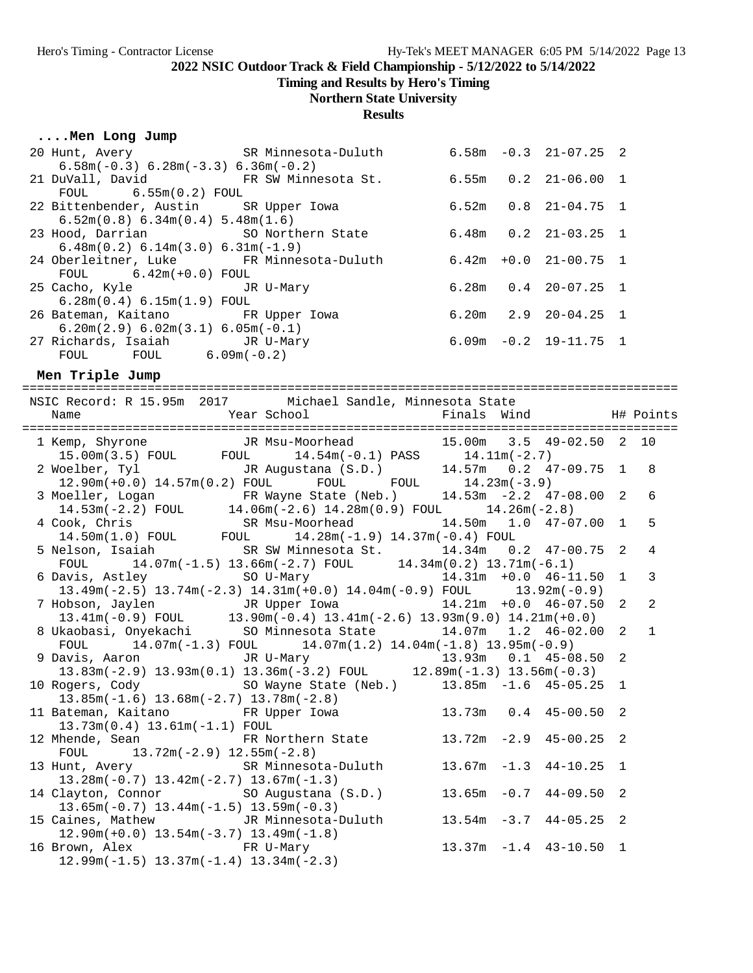**Timing and Results by Hero's Timing**

#### **Northern State University**

**Results**

| Men Long Jump                            |                                                                                         |  |  |                            |  |  |
|------------------------------------------|-----------------------------------------------------------------------------------------|--|--|----------------------------|--|--|
|                                          | 20 Hunt, Avery SR Minnesota-Duluth                                                      |  |  | $6.58m - 0.3$ $21-07.25$ 2 |  |  |
| $6.58m(-0.3) 6.28m(-3.3) 6.36m(-0.2)$    |                                                                                         |  |  |                            |  |  |
| 21 DuVall, David FR SW Minnesota St.     |                                                                                         |  |  | $6.55m$ $0.2$ $21-06.00$ 1 |  |  |
| $FOUL$ 6.55m(0.2) FOUL                   |                                                                                         |  |  |                            |  |  |
| 22 Bittenbender, Austin SR Upper Iowa    |                                                                                         |  |  | $6.52m$ $0.8$ $21-04.75$ 1 |  |  |
| 6.52m(0.8) 6.34m(0.4) 5.48m(1.6)         |                                                                                         |  |  |                            |  |  |
|                                          | 23 Hood, Darrian               SO Northern State             6.48m   0.2   21-03.25   1 |  |  |                            |  |  |
| $6.48m(0.2) 6.14m(3.0) 6.31m(-1.9)$      |                                                                                         |  |  |                            |  |  |
| 24 Oberleitner, Luke FR Minnesota-Duluth |                                                                                         |  |  | $6.42m + 0.0$ $21-00.75$ 1 |  |  |
| $FOUL$ 6.42m( $+0.0$ ) FOUL              |                                                                                         |  |  |                            |  |  |
| 25 Cacho, Kyle JR U-Mary                 |                                                                                         |  |  | $6.28m$ $0.4$ $20-07.25$ 1 |  |  |
| 6.28m(0.4) 6.15m(1.9) F0UL               |                                                                                         |  |  |                            |  |  |
| 26 Bateman, Kaitano FR Upper Iowa        |                                                                                         |  |  | $6.20m$ $2.9$ $20-04.25$ 1 |  |  |
| $6.20m(2.9) 6.02m(3.1) 6.05m(-0.1)$      |                                                                                         |  |  |                            |  |  |
| 27 Richards, Isaiah JR U-Mary            |                                                                                         |  |  | $6.09m - 0.2$ 19-11.75 1   |  |  |
| $FOUL$ $FOUL$ $6.09m(-0.2)$              |                                                                                         |  |  |                            |  |  |
| Men Triple Jump                          |                                                                                         |  |  |                            |  |  |

========================================================================================= NSIC Record: R 15.95m 2017 Michael Sandle, Minnesota State Name Year School Finals Wind H# Points ========================================================================================= 1 Kemp, Shyrone JR Msu-Moorhead 15.00m 3.5 49-02.50 2 10 15.00m(3.5) FOUL FOUL 14.54m(-0.1) PASS 14.11m(-2.7) 2 Woelber, Tyl JR Augustana (S.D.) 14.57m 0.2 47-09.75 1 8 12.90m(+0.0) 14.57m(0.2) FOUL FOUL FOUL 14.23m(-3.9) 3 Moeller, Logan FR Wayne State (Neb.) 14.53m -2.2 47-08.00 2 6 14.53m(-2.2) FOUL 14.06m(-2.6) 14.28m(0.9) FOUL 14.26m(-2.8) 4 Cook, Chris SR Msu-Moorhead 14.50m 1.0 47-07.00 1 5 14.50m(1.0) FOUL FOUL 14.28m(-1.9) 14.37m(-0.4) FOUL 5 Nelson, Isaiah SR SW Minnesota St. 14.34m 0.2 47-00.75 2 4 FOUL 14.07m(-1.5) 13.66m(-2.7) FOUL 14.34m(0.2) 13.71m(-6.1) 6 Davis, Astley SO U-Mary 14.31m +0.0 46-11.50 1 3 13.49m(-2.5) 13.74m(-2.3) 14.31m(+0.0) 14.04m(-0.9) FOUL 13.92m(-0.9) 7 Hobson, Jaylen JR Upper Iowa 14.21m +0.0 46-07.50 2 2 13.41m(-0.9) FOUL 13.90m(-0.4) 13.41m(-2.6) 13.93m(9.0) 14.21m(+0.0) 8 Ukaobasi, Onyekachi SO Minnesota State 14.07m 1.2 46-02.00 2 1 FOUL 14.07m(-1.3) FOUL 14.07m(1.2) 14.04m(-1.8) 13.95m(-0.9) 9 Davis, Aaron JR U-Mary 13.93m 0.1 45-08.50 2 13.83m(-2.9) 13.93m(0.1) 13.36m(-3.2) FOUL 12.89m(-1.3) 13.56m(-0.3) 10 Rogers, Cody SO Wayne State (Neb.) 13.85m -1.6 45-05.25 1 13.85m(-1.6) 13.68m(-2.7) 13.78m(-2.8) 11 Bateman, Kaitano FR Upper Iowa 13.73m 0.4 45-00.50 2 13.73m(0.4) 13.61m(-1.1) FOUL 12 Mhende, Sean FR Northern State 13.72m -2.9 45-00.25 2 FOUL 13.72m(-2.9) 12.55m(-2.8) 13 Hunt, Avery SR Minnesota-Duluth 13.67m -1.3 44-10.25 1 13.28m(-0.7) 13.42m(-2.7) 13.67m(-1.3) 14 Clayton, Connor SO Augustana (S.D.) 13.65m -0.7 44-09.50 2 13.65m(-0.7) 13.44m(-1.5) 13.59m(-0.3) 15 Caines, Mathew JR Minnesota-Duluth 13.54m -3.7 44-05.25 2 12.90m(+0.0) 13.54m(-3.7) 13.49m(-1.8) 16 Brown, Alex FR U-Mary 13.37m -1.4 43-10.50 1 12.99m(-1.5) 13.37m(-1.4) 13.34m(-2.3)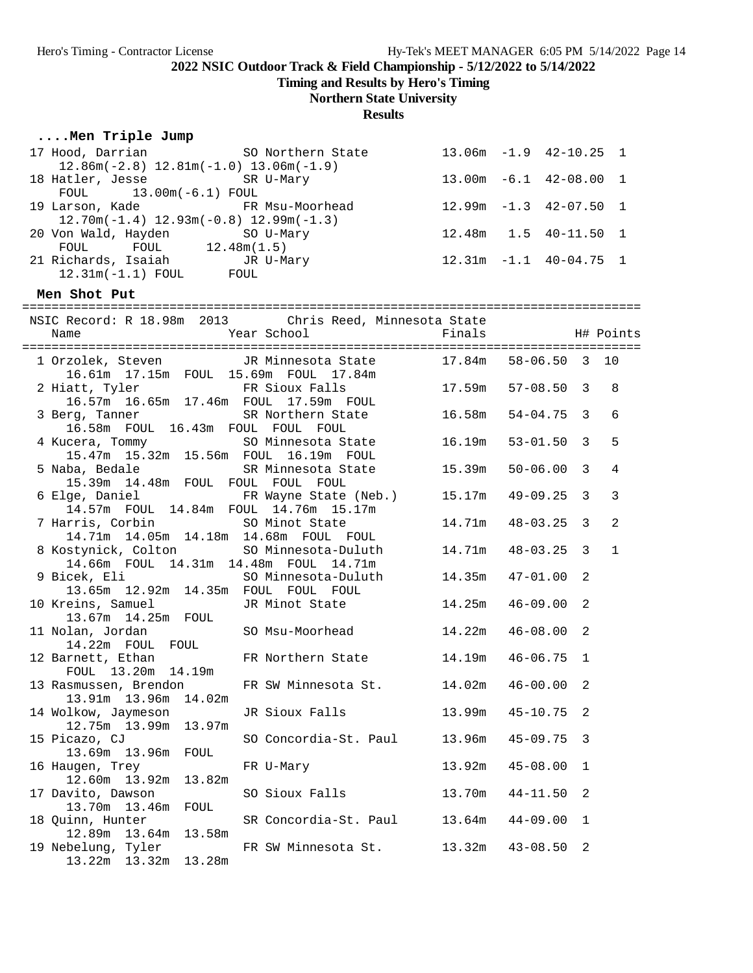**Timing and Results by Hero's Timing**

# **Northern State University**

**Results**

| Men Triple Jump                                                                 |                                                           |        |                             |   |                |
|---------------------------------------------------------------------------------|-----------------------------------------------------------|--------|-----------------------------|---|----------------|
| 17 Hood, Darrian<br>$12.86m(-2.8)$ $12.81m(-1.0)$ $13.06m(-1.9)$                | SO Northern State 13.06m -1.9 42-10.25 1                  |        |                             |   |                |
| 18 Hatler, Jesse SR U-Mary<br>FOUL 13.00m (-6.1) FOUL                           |                                                           |        | 13.00m -6.1 42-08.00 1      |   |                |
| 19 Larson, Kade FR Msu-Moorhead<br>$12.70m(-1.4)$ $12.93m(-0.8)$ $12.99m(-1.3)$ |                                                           |        | $12.99m - 1.3$ $42-07.50$ 1 |   |                |
| 20 Von Wald, Hayden SO U-Mary<br>FOUL FOUL $12.48m(1.5)$                        |                                                           |        | 12.48m  1.5  40-11.50  1    |   |                |
| 21 Richards, Isaiah MJR U-Mary<br>12.31m(-1.1) FOUL FOUL                        |                                                           |        | $12.31m -1.1$ $40-04.75$ 1  |   |                |
| Men Shot Put                                                                    |                                                           |        |                             |   |                |
|                                                                                 |                                                           |        |                             |   |                |
|                                                                                 | NSIC Record: R 18.98m 2013 Chris Reed, Minnesota State    |        |                             |   |                |
|                                                                                 |                                                           |        |                             |   |                |
|                                                                                 | 1 Orzolek, Steven JR Minnesota State 17.84m 58-06.50 3 10 |        |                             |   |                |
|                                                                                 |                                                           |        |                             |   |                |
| 2 Hiatt, Tyler                                                                  |                                                           |        |                             |   | 8              |
|                                                                                 | 16.57m  16.65m  17.46m  FOUL  17.59m  FOUL                |        | $54 - 04.75$ 3              |   | 6              |
| 3 Berg, Tanner                                                                  | SR Northern State 16.58m                                  |        |                             |   |                |
| 16.58m FOUL 16.43m FOUL FOUL FOUL                                               | 4 Kucera, Tommy SO Minnesota State 16.19m                 |        | $53 - 01.50$ 3              |   | 5              |
| 15.47m  15.32m  15.56m  FOUL  16.19m  FOUL                                      |                                                           |        |                             |   |                |
| 5 Naba, Bedale                                                                  | SR Minnesota State                                        | 15.39m | $50 - 06.00$ 3              |   | 4              |
| 15.39m 14.48m FOUL FOUL FOUL FOUL                                               |                                                           |        |                             |   |                |
|                                                                                 | 6 Elge, Daniel (Neb.)                                     | 15.17m | $49 - 09.25$ 3              |   | 3              |
| 14.57m FOUL 14.84m FOUL 14.76m 15.17m                                           |                                                           |        |                             |   |                |
| 7 Harris, Corbin 50 Minot State                                                 |                                                           | 14.71m | $48 - 03.25$ 3              |   | $\overline{2}$ |
| 14.71m  14.05m  14.18m  14.68m  FOUL  FOUL                                      |                                                           |        |                             |   |                |
|                                                                                 | 8 Kostynick, Colton SO Minnesota-Duluth                   | 14.71m | $48 - 03.25$ 3              |   | $\mathbf{1}$   |
| 14.66m FOUL 14.31m 14.48m FOUL 14.71m                                           |                                                           |        |                             |   |                |
| 9 Bicek, Eli                                                                    | SO Minnesota-Duluth                                       | 14.35m | $47 - 01.00$ 2              |   |                |
| 13.65m  12.92m  14.35m  FOUL  FOUL  FOUL                                        |                                                           |        |                             |   |                |
| 10 Kreins, Samuel                                                               | JR Minot State                                            | 14.25m | 46-09.00                    | 2 |                |
| 13.67m  14.25m  FOUL                                                            |                                                           |        |                             |   |                |
| 11 Nolan, Jordan<br>14.22m FOUL FOUL                                            | SO Msu-Moorhead 14.22m                                    |        | 46-08.00                    | 2 |                |
|                                                                                 | 12 Barnett, Ethan FR Northern State 14.19m 46-06.75 1     |        |                             |   |                |
| FOUL 13.20m 14.19m                                                              |                                                           |        |                             |   |                |
| 13 Rasmussen, Brendon                                                           | FR SW Minnesota St.                                       | 14.02m | $46 - 00.00$                | 2 |                |
| 13.91m 13.96m<br>14.02m                                                         |                                                           |        |                             |   |                |
| 14 Wolkow, Jaymeson                                                             | JR Sioux Falls                                            | 13.99m | $45 - 10.75$                | 2 |                |
| 12.75m 13.99m<br>13.97m                                                         |                                                           |        |                             |   |                |
| 15 Picazo, CJ                                                                   | SO Concordia-St. Paul                                     | 13.96m | $45 - 09.75$                | 3 |                |
| 13.69m 13.96m<br>FOUL                                                           |                                                           |        |                             |   |                |
| 16 Haugen, Trey                                                                 | FR U-Mary                                                 | 13.92m | $45 - 08.00$                | 1 |                |
| 12.60m 13.92m<br>13.82m                                                         |                                                           |        |                             |   |                |
| 17 Davito, Dawson                                                               | SO Sioux Falls                                            | 13.70m | $44 - 11.50$                | 2 |                |
| 13.70m 13.46m<br>FOUL                                                           |                                                           |        |                             |   |                |
| 18 Quinn, Hunter                                                                | SR Concordia-St. Paul                                     | 13.64m | $44 - 09.00$                | 1 |                |
| 12.89m 13.64m<br>13.58m<br>19 Nebelung, Tyler                                   | FR SW Minnesota St.                                       | 13.32m | $43 - 08.50$                | 2 |                |
| 13.22m 13.32m 13.28m                                                            |                                                           |        |                             |   |                |
|                                                                                 |                                                           |        |                             |   |                |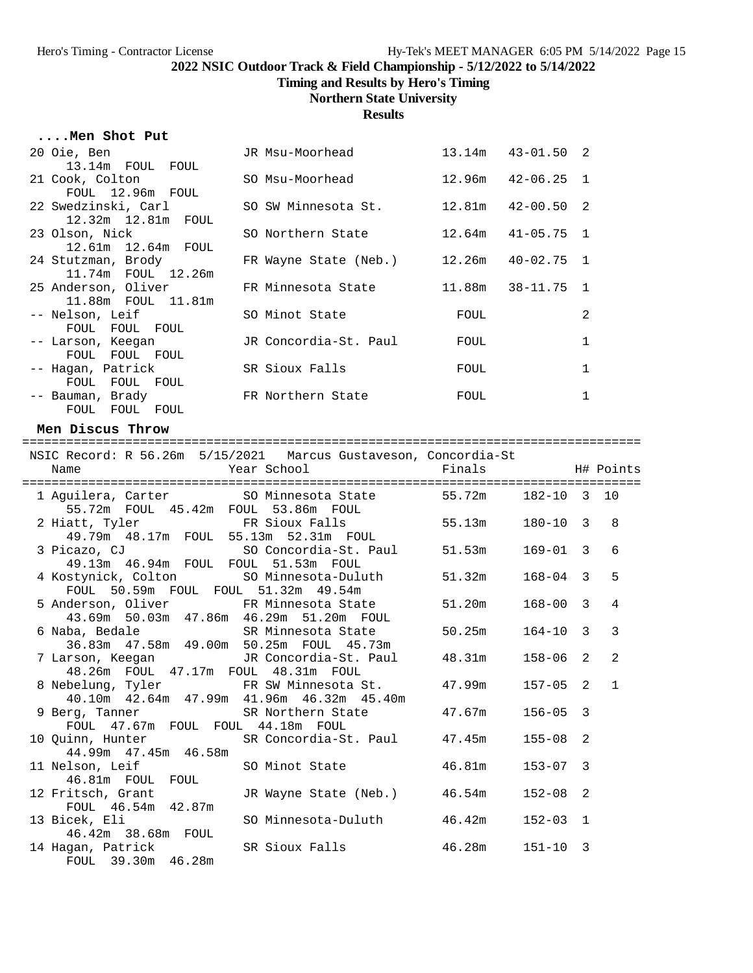**Timing and Results by Hero's Timing**

#### **Northern State University**

**Results**

| 20 Oie, Ben<br>13.14m FOUL FOUL           | JR Msu-Moorhead       |        | 13.14m  43-01.50  2 |   |
|-------------------------------------------|-----------------------|--------|---------------------|---|
| 21 Cook, Colton<br>FOUL 12.96m FOUL       | SO Msu-Moorhead       | 12.96m | $42 - 06.25$ 1      |   |
| 22 Swedzinski, Carl<br>12.32m 12.81m FOUL | SO SW Minnesota St.   | 12.81m | $42 - 00.50$ 2      |   |
| 23 Olson, Nick<br>12.61m 12.64m FOUL      | SO Northern State     | 12.64m | 41-05.75 1          |   |
| 24 Stutzman, Brody<br>11.74m FOUL 12.26m  | FR Wayne State (Neb.) | 12.26m | 40-02.75 1          |   |
| 25 Anderson, Oliver<br>11.88m FOUL 11.81m | FR Minnesota State    | 11.88m | 38-11.75 1          |   |
| -- Nelson, Leif<br>FOUL FOUL FOUL         | SO Minot State        | FOUL   |                     | 2 |
| -- Larson, Keeqan<br>FOUL FOUL FOUL       | JR Concordia-St. Paul | FOUL   |                     |   |
| -- Hagan, Patrick<br>FOUL FOUL FOUL       | SR Sioux Falls        | FOUL   |                     | 1 |
| -- Bauman, Brady<br>FOUL FOUL FOUL        | FR Northern State     | FOUL   |                     | 1 |

#### **Men Discus Throw**

==================================================================================== NSIC Record: R 56.26m 5/15/2021 Marcus Gustaveson, Concordia-St Name Year School Finals H# Points ==================================================================================== 1 Aguilera, Carter SO Minnesota State 55.72m 182-10 3 10 55.72m FOUL 45.42m FOUL 53.86m FOUL 2 Hiatt, Tyler FR Sioux Falls 55.13m 180-10 3 8 49.79m 48.17m FOUL 55.13m 52.31m FOUL 3 Picazo, CJ SO Concordia-St. Paul 51.53m 169-01 3 6 49.13m 46.94m FOUL FOUL 51.53m FOUL 4 Kostynick, Colton SO Minnesota-Duluth 51.32m 168-04 3 5<br>FOUL 50.59m FOUL FOUL 51.32m 49.54m FOUL 50.59m FOUL FOUL 51.32m 49.54m 5 Anderson, Oliver FR Minnesota State 51.20m 168-00 3 4 43.69m 50.03m 47.86m 46.29m 51.20m FOUL 6 Naba, Bedale SR Minnesota State 50.25m 164-10 3 3 36.83m 47.58m 49.00m 50.25m FOUL 45.73m 7 Larson, Keegan JR Concordia-St. Paul 48.31m 158-06 2 2 48.26m FOUL 47.17m FOUL 48.31m FOUL 8 Nebelung, Tyler FR SW Minnesota St. 47.99m 157-05 2 1 40.10m 42.64m 47.99m 41.96m 46.32m 45.40m 9 Berg, Tanner SR Northern State 47.67m 156-05 3 FOUL 47.67m FOUL FOUL 44.18m FOUL<br>10 Quinn, Hunter SR Concordia-St SR Concordia-St. Paul 47.45m 155-08 2 44.99m 47.45m 46.58m 11 Nelson, Leif SO Minot State 46.81m 153-07 3 46.81m FOUL FOUL 12 Fritsch, Grant JR Wayne State (Neb.) 46.54m 152-08 2 FOUL 46.54m 42.87m 13 Bicek, Eli SO Minnesota-Duluth 46.42m 152-03 1 46.42m 38.68m FOUL 14 Hagan, Patrick SR Sioux Falls 46.28m 151-10 3 FOUL 39.30m 46.28m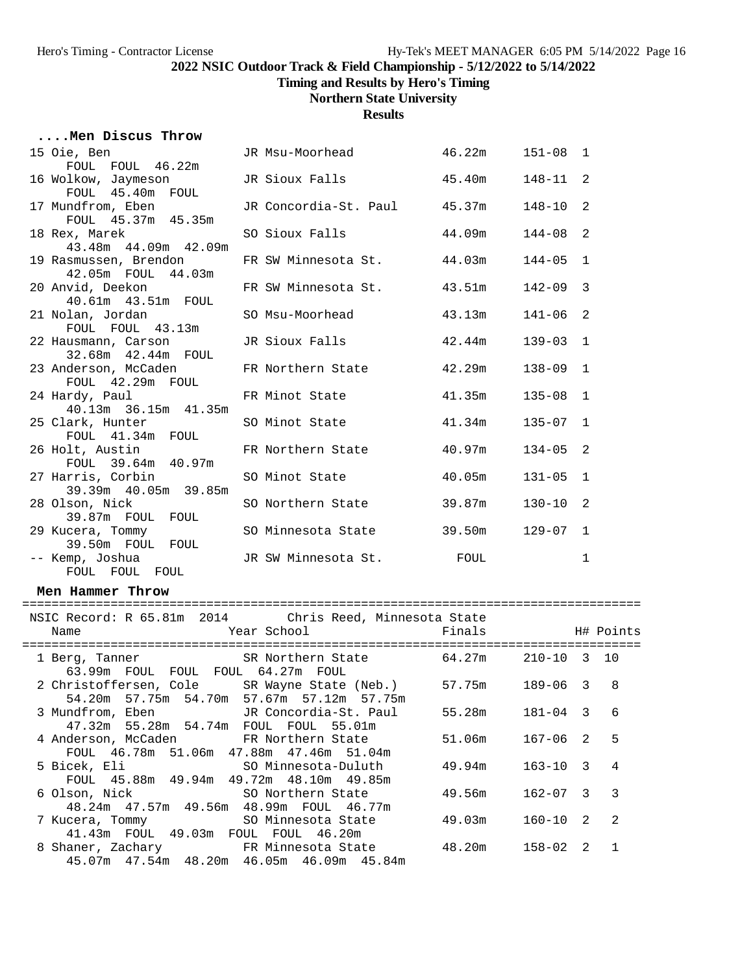**....Men Discus Throw**

**2022 NSIC Outdoor Track & Field Championship - 5/12/2022 to 5/14/2022**

**Timing and Results by Hero's Timing**

## **Northern State University**

**Results**

| 15 Oie, Ben                                                                              | JR Msu-Moorhead              | 46.22m | $151 - 08$ 1    |              |             |
|------------------------------------------------------------------------------------------|------------------------------|--------|-----------------|--------------|-------------|
| FOUL FOUL 46.22m<br>16 Wolkow, Jaymeson                                                  | JR Sioux Falls               | 45.40m | 148-11          | 2            |             |
| FOUL 45.40m FOUL                                                                         |                              |        |                 |              |             |
| 17 Mundfrom, Eben                                                                        | JR Concordia-St. Paul 45.37m |        | $148 - 10$      | 2            |             |
| FOUL 45.37m 45.35m                                                                       |                              |        |                 |              |             |
| 18 Rex, Marek<br>43.48m  44.09m  42.09m                                                  | SO Sioux Falls               | 44.09m | $144 - 08$      | 2            |             |
| 19 Rasmussen, Brendon                                                                    | FR SW Minnesota St.          | 44.03m | $144 - 05$      | $\mathbf{1}$ |             |
| 42.05m FOUL 44.03m                                                                       |                              |        |                 |              |             |
| 20 Anvid, Deekon                                                                         | FR SW Minnesota St.          | 43.51m | $142 - 09$      | 3            |             |
| 40.61m  43.51m  FOUL                                                                     |                              |        |                 |              |             |
| 21 Nolan, Jordan<br>FOUL FOUL 43.13m                                                     | SO Msu-Moorhead              | 43.13m | 141-06          | 2            |             |
| 22 Hausmann, Carson                                                                      | JR Sioux Falls               | 42.44m | $139 - 03$      | $\mathbf 1$  |             |
| 32.68m  42.44m  FOUL                                                                     |                              |        |                 |              |             |
| 23 Anderson, McCaden                                                                     | FR Northern State            | 42.29m | $138 - 09$      | 1            |             |
| FOUL 42.29m FOUL                                                                         |                              |        |                 |              |             |
| 24 Hardy, Paul<br>40.13m 36.15m 41.35m                                                   | FR Minot State               | 41.35m | $135 - 08$      | 1            |             |
| 25 Clark, Hunter                                                                         | SO Minot State               | 41.34m | $135 - 07$      | 1            |             |
| FOUL 41.34m FOUL                                                                         |                              |        |                 |              |             |
| 26 Holt, Austin                                                                          | FR Northern State            | 40.97m | $134 - 05$      | 2            |             |
| FOUL 39.64m 40.97m                                                                       |                              |        |                 |              |             |
| 27 Harris, Corbin<br>39.39m  40.05m  39.85m                                              | SO Minot State               | 40.05m | $131 - 05$      | $\mathbf 1$  |             |
| 28 Olson, Nick                                                                           | SO Northern State            | 39.87m | $130 - 10$      | 2            |             |
| 39.87m FOUL FOUL                                                                         |                              |        |                 |              |             |
| 29 Kucera, Tommy                                                                         | SO Minnesota State           | 39.50m | 129-07          | $\mathbf 1$  |             |
| 39.50m FOUL FOUL                                                                         |                              |        |                 |              |             |
| -- Kemp, Joshua<br>FOUL FOUL FOUL                                                        | JR SW Minnesota St.          | FOUL   |                 | 1            |             |
|                                                                                          |                              |        |                 |              |             |
| Men Hammer Throw                                                                         |                              |        |                 |              |             |
| NSIC Record: R 65.81m 2014 Chris Reed, Minnesota State                                   |                              |        |                 |              |             |
| Name                                                                                     | Year School                  | Finals |                 |              | H# Points   |
|                                                                                          |                              |        |                 |              |             |
| 1 Berg, Tanner SR Northern State 64.27m<br>63.99m FOUL FOUL FOUL 64.27m FOUL             |                              |        | $210 - 10$ 3 10 |              |             |
| 2 Christoffersen, Cole SR Wayne State (Neb.) 57.75m                                      |                              |        | $189 - 06$ 3    |              | 8           |
| 54.20m 57.75m 54.70m 57.67m 57.12m 57.75m                                                |                              |        |                 |              |             |
| 3 Mundfrom, Eben                                                                         | JR Concordia-St. Paul        | 55.28m | $181 - 04$ 3    |              | 6           |
| 47.32m 55.28m 54.74m FOUL FOUL 55.01m                                                    |                              |        |                 |              |             |
| 4 Anderson, McCaden                                                                      | FR Northern State            | 51.06m | $167 - 06$      | 2            | 5           |
| FOUL 46.78m 51.06m 47.88m 47.46m<br>5 Bicek, Eli                                         | 51.04m                       | 49.94m | $163 - 10$      | 3            | 4           |
| FOUL 45.88m 49.94m 49.72m 48.10m 49.85m                                                  | SO Minnesota-Duluth          |        |                 |              |             |
| 6 Olson, Nick                                                                            | SO Northern State            | 49.56m | $162 - 07$      | 3            | 3           |
| 48.24m  47.57m  49.56m  48.99m  FOUL  46.77m                                             |                              |        |                 |              |             |
| 7 Kucera, Tommy                                                                          | SO Minnesota State           | 49.03m | $160 - 10$      | 2            | 2           |
| 41.43m FOUL 49.03m FOUL FOUL 46.20m                                                      |                              |        |                 |              |             |
| 8 Shaner, Zachary 6 FR Minnesota State<br>45.07m  47.54m  48.20m  46.05m  46.09m  45.84m |                              | 48.20m | $158 - 02$      | 2            | $\mathbf 1$ |
|                                                                                          |                              |        |                 |              |             |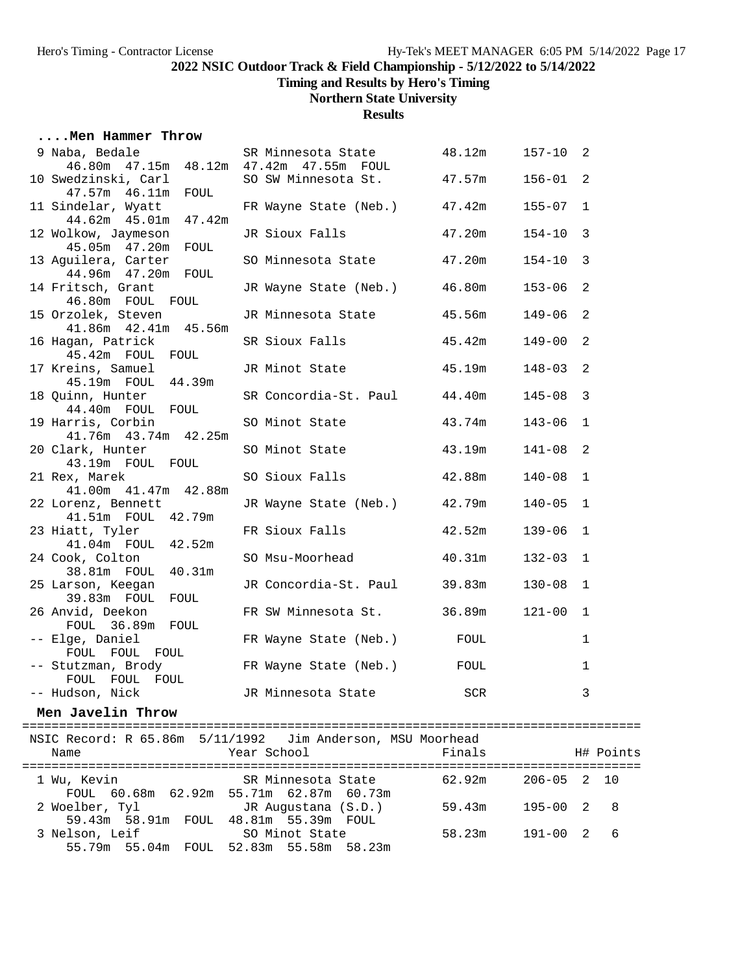**Timing and Results by Hero's Timing**

## **Northern State University**

**Results**

| Men Hammer Throw                                               |                                           |        |                           |
|----------------------------------------------------------------|-------------------------------------------|--------|---------------------------|
| 9 Naba, Bedale<br>46.80m  47.15m  48.12m  47.42m  47.55m  FOUL | SR Minnesota State 48.12m 157-10          |        | 2                         |
| 10 Swedzinski, Carl<br>47.57m  46.11m  FOUL                    | SO SW Minnesota St.                       | 47.57m | $156 - 01$<br>2           |
| 11 Sindelar, Wyatt<br>44.62m  45.01m  47.42m                   | FR Wayne State (Neb.) 47.42m              |        | $155 - 07$<br>1           |
| 12 Wolkow, Jaymeson<br>45.05m  47.20m  FOUL                    | JR Sioux Falls                            | 47.20m | $154 - 10$<br>3           |
| 13 Aguilera, Carter<br>44.96m  47.20m  FOUL                    | SO Minnesota State 47.20m                 |        | $154 - 10$<br>3           |
| 14 Fritsch, Grant<br>46.80m FOUL FOUL                          | JR Wayne State (Neb.) 46.80m              |        | 2<br>$153 - 06$           |
| 15 Orzolek, Steven<br>41.86m  42.41m  45.56m                   | JR Minnesota State 45.56m                 |        | 2<br>$149 - 06$           |
| 16 Hagan, Patrick<br>45.42m FOUL FOUL                          | SR Sioux Falls                            | 45.42m | $149 - 00$<br>2           |
| 17 Kreins, Samuel<br>45.19m FOUL 44.39m                        | JR Minot State 45.19m                     |        | 2<br>$148 - 03$           |
| 18 Quinn, Hunter<br>44.40m FOUL FOUL                           | SR Concordia-St. Paul 44.40m              |        | 3<br>$145 - 08$           |
| 19 Harris, Corbin<br>41.76m  43.74m  42.25m                    | SO Minot State                            | 43.74m | $143 - 06$<br>1           |
| 20 Clark, Hunter<br>43.19m FOUL FOUL                           | SO Minot State                            | 43.19m | 2<br>$141 - 08$           |
| 21 Rex, Marek<br>41.00m  41.47m  42.88m                        | SO Sioux Falls                            | 42.88m | $140 - 08$<br>1           |
| 22 Lorenz, Bennett<br>41.51m FOUL 42.79m                       | JR Wayne State (Neb.) 42.79m              |        | $140 - 05$<br>1           |
| 23 Hiatt, Tyler<br>41.04m FOUL 42.52m                          | FR Sioux Falls                            | 42.52m | $139 - 06$<br>$\mathbf 1$ |
| 24 Cook, Colton<br>38.81m FOUL 40.31m                          | SO Msu-Moorhead                           | 40.31m | $132 - 03$<br>1           |
| 25 Larson, Keegan<br>39.83m FOUL FOUL                          | JR Concordia-St. Paul 39.83m              |        | $130 - 08$<br>1           |
| 26 Anvid, Deekon<br>FOUL 36.89m FOUL                           | FR SW Minnesota St. 36.89m                |        | $121 - 00$<br>1           |
| -- Elge, Daniel<br>FOUL FOUL FOUL                              | FR Wayne State (Neb.) FOUL                |        | 1                         |
| -- Stutzman, Brody                                             | FR Wayne State (Neb.) FOUL                |        | $\mathbf 1$               |
| FOUL FOUL FOUL<br>-- Hudson, Nick                              | JR Minnesota State                        | SCR    | 3                         |
| Men Javelin Throw                                              |                                           |        |                           |
| NSIC Record: R 65.86m 5/11/1992<br>Name                        | Jim Anderson, MSU Moorhead<br>Year School | Finals | H# Points                 |
| 1 Wu, Kevin                                                    | SR Minnesota State                        | 62.92m | $206 - 05$<br>2<br>10     |
|                                                                |                                           |        |                           |

2 Woelber, Tyl JR Augustana (S.D.)<br>2 Woelber, Tyl JR Augustana (S.D.) 59.43m 195-00 2 8

3 Nelson, Leif SO Minot State 58.23m 191-00 2 6

FOUL 60.68m 62.92m 55.71m 62.87m 60.73m

55.79m 55.04m FOUL 52.83m 55.58m 58.23m

59.43m 58.91m FOUL 48.81m 55.39m FOUL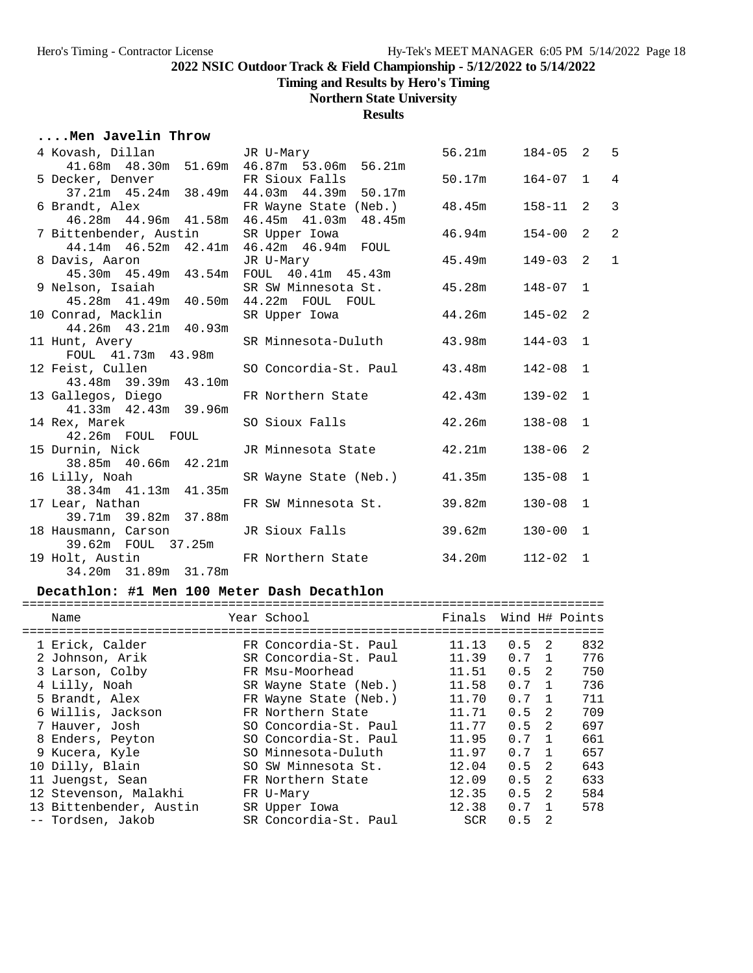**Timing and Results by Hero's Timing**

## **Northern State University**

**Results**

## **....Men Javelin Throw**

|                                                                        | 4 Kovash, Dillan JR U-Mary<br>41.68m 48.30m 51.69m 46.87m 53.06m 56.21m                      | 56.21m  184-05  2  5 |              |                |
|------------------------------------------------------------------------|----------------------------------------------------------------------------------------------|----------------------|--------------|----------------|
|                                                                        |                                                                                              |                      |              |                |
|                                                                        | 5 Decker, Denver FR Sioux Falls 50.17m 164-07 1<br>37.21m 45.24m 38.49m 44.03m 44.39m 50.17m |                      |              | $\overline{4}$ |
|                                                                        |                                                                                              |                      |              |                |
|                                                                        | 6 Brandt, Alex               FR Wayne State (Neb.)       48.45m                              |                      | $158 - 11$ 2 | $\overline{3}$ |
|                                                                        | 46.28m  44.96m  41.58m  46.45m  41.03m  48.45m                                               |                      |              |                |
| 7 Bittenbender, Austin SR Upper Iowa                                   |                                                                                              | $46.94m$ $154-00$ 2  |              | $\overline{a}$ |
|                                                                        | 44.14m  46.52m  42.41m  46.42m  46.94m  FOUL                                                 |                      |              |                |
| 8 Davis, Aaron 17 JR U-Mary<br>45.30m 45.49m 43.54m FOUL 40.41m 45.43m | JR U-Mary                                                                                    | 45.49m               | $149 - 03$ 2 | $\mathbf{1}$   |
|                                                                        |                                                                                              |                      |              |                |
|                                                                        | 9 Nelson, Isaiah SR SW Minnesota St. 45.28m 148-07 1                                         |                      |              |                |
| 45.28m  41.49m  40.50m  44.22m  FOUL  FOUL                             |                                                                                              |                      |              |                |
| 10 Conrad, Macklin                                                     | SR Upper Iowa 44.26m                                                                         |                      | $145 - 02$ 2 |                |
| 44.26m  43.21m  40.93m                                                 |                                                                                              |                      |              |                |
| 11 Hunt, Avery                                                         | SR Minnesota-Duluth 43.98m                                                                   |                      | $144 - 03$ 1 |                |
| FOUL 41.73m 43.98m                                                     |                                                                                              |                      |              |                |
|                                                                        | 12 Feist, Cullen SO Concordia-St. Paul 43.48m 142-08 1                                       |                      |              |                |
| 43.48m 39.39m 43.10m                                                   |                                                                                              |                      |              |                |
| 13 Gallegos, Diego                                                     | FR Northern State 42.43m                                                                     |                      | $139 - 02$ 1 |                |
| 41.33m  42.43m  39.96m                                                 |                                                                                              |                      |              |                |
| 14 Rex, Marek                                                          | SO Sioux Falls                                                                               | 42.26m               | $138 - 08$ 1 |                |
| 42.26m FOUL FOUL                                                       |                                                                                              |                      |              |                |
| 15 Durnin, Nick                                                        | JR Minnesota State 42.21m                                                                    |                      | $138 - 06$ 2 |                |
| 38.85m 40.66m 42.21m                                                   |                                                                                              |                      |              |                |
| 16 Lilly, Noah<br>38.34m 41.13m 41.35m                                 | SR Wayne State (Neb.) 41.35m                                                                 |                      | $135 - 08$ 1 |                |
|                                                                        |                                                                                              |                      |              |                |
| 17 Lear, Nathan                                                        | FR SW Minnesota St. 39.82m                                                                   |                      | $130 - 08$ 1 |                |
| 39.71m 39.82m 37.88m                                                   |                                                                                              |                      |              |                |
| 18 Hausmann, Carson                                                    | JR Sioux Falls 39.62m                                                                        |                      | $130 - 00$ 1 |                |
| 39.62m  FOUL  37.25m                                                   |                                                                                              |                      |              |                |
|                                                                        | 19 Holt, Austin FR Northern State 34.20m                                                     |                      | $112 - 02$ 1 |                |
| 34.20m 31.89m 31.78m                                                   |                                                                                              |                      |              |                |

#### **Decathlon: #1 Men 100 Meter Dash Decathlon**

| Name                    | Year School           | Finals     |     |                | Wind H# Points |
|-------------------------|-----------------------|------------|-----|----------------|----------------|
| 1 Erick, Calder         | FR Concordia-St. Paul | 11.13      | 0.5 | - 2.           | 832            |
| 2 Johnson, Arik         | SR Concordia-St. Paul | 11.39      | 0.7 | $\overline{1}$ | 776            |
| 3 Larson, Colby         | FR Msu-Moorhead       | 11.51      | 0.5 | $\mathcal{L}$  | 750            |
| 4 Lilly, Noah           | SR Wayne State (Neb.) | 11.58      | 0.7 | $\mathbf{1}$   | 736            |
| 5 Brandt, Alex          | FR Wayne State (Neb.) | 11.70      | 0.7 | $\mathbf{1}$   | 711            |
| 6 Willis, Jackson       | FR Northern State     | 11.71      | 0.5 | 2              | 709            |
| 7 Hauver, Josh          | SO Concordia-St. Paul | 11.77      | 0.5 | $\mathcal{L}$  | 697            |
| 8 Enders, Peyton        | SO Concordia-St. Paul | 11.95      | 0.7 | $\overline{1}$ | 661            |
| 9 Kucera, Kyle          | SO Minnesota-Duluth   | 11.97      | 0.7 | $\mathbf{1}$   | 657            |
| 10 Dilly, Blain         | SO SW Minnesota St.   | 12.04      | 0.5 | 2              | 643            |
| 11 Juengst, Sean        | FR Northern State     | 12.09      | 0.5 | $\overline{2}$ | 633            |
| 12 Stevenson, Malakhi   | FR U-Mary             | 12.35      | 0.5 | 2              | 584            |
| 13 Bittenbender, Austin | SR Upper Iowa         | 12.38      | 0.7 |                | 578            |
| -- Tordsen, Jakob       | SR Concordia-St. Paul | <b>SCR</b> | 0.5 | 2              |                |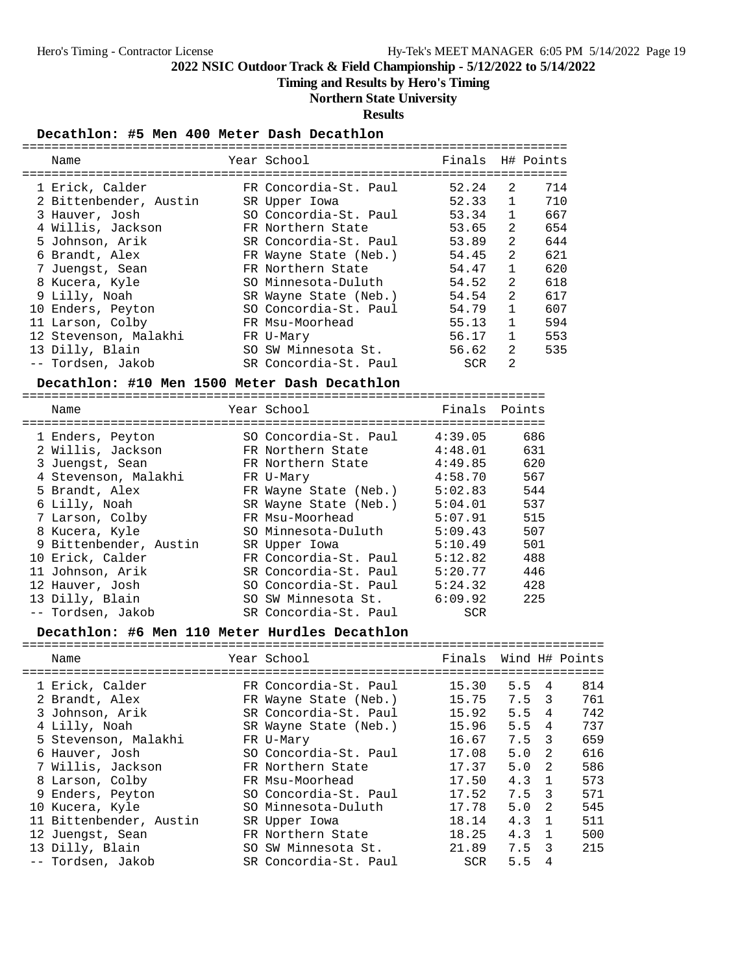## **Timing and Results by Hero's Timing**

## **Northern State University**

**Results**

#### **Decathlon: #5 Men 400 Meter Dash Decathlon**

| Name                                         | Year School and the control of the control of the control of the control of the control of the control of the c | Finals H# Points      |              |     |
|----------------------------------------------|-----------------------------------------------------------------------------------------------------------------|-----------------------|--------------|-----|
|                                              |                                                                                                                 |                       |              |     |
| 1 Erick, Calder                              | FR Concordia-St. Paul                                                                                           | 52.24                 | 2            | 714 |
| 2 Bittenbender, Austin                       | SR Upper Iowa                                                                                                   | 52.33                 | $\mathbf{1}$ | 710 |
| 3 Hauver, Josh                               | SO Concordia-St. Paul 53.34                                                                                     |                       | $\mathbf{1}$ | 667 |
| 4 Willis, Jackson                            | FR Northern State                                                                                               | 53.65                 | 2            | 654 |
| 5 Johnson, Arik                              | SR Concordia-St. Paul                                                                                           | 53.89                 | 2            | 644 |
| 6 Brandt, Alex                               | FR Wayne State (Neb.)                                                                                           | 54.45                 | 2            | 621 |
| 7 Juengst, Sean                              | FR Northern State                                                                                               | 54.47                 | $\mathbf{1}$ | 620 |
| 8 Kucera, Kyle                               | SO Minnesota-Duluth                                                                                             | 54.52                 | 2            | 618 |
| 9 Lilly, Noah                                | SR Wayne State (Neb.)                                                                                           | 54.54                 | 2            | 617 |
| 10 Enders, Peyton                            | SO Concordia-St. Paul 54.79                                                                                     |                       | $\mathbf{1}$ | 607 |
| 11 Larson, Colby                             | FR Msu-Moorhead                                                                                                 | 55.13                 | $\mathbf{1}$ | 594 |
| 12 Stevenson, Malakhi                        | FR U-Mary                                                                                                       | 56.17                 | $\mathbf{1}$ | 553 |
| 13 Dilly, Blain                              | SO SW Minnesota St.                                                                                             | 56.62                 | 2            | 535 |
| -- Tordsen, Jakob                            | SR Concordia-St. Paul                                                                                           | SCR                   | 2            |     |
| Decathlon: #10 Men 1500 Meter Dash Decathlon |                                                                                                                 |                       |              |     |
|                                              |                                                                                                                 |                       |              |     |
| Name                                         | Year School                                                                                                     | Finals Points         |              |     |
|                                              |                                                                                                                 |                       |              |     |
| 1 Enders, Peyton                             | SO Concordia-St. Paul 4:39.05                                                                                   |                       |              | 686 |
| 2 Willis, Jackson                            | FR Northern State 4:48.01                                                                                       |                       |              | 631 |
| 3 Juengst, Sean                              | FR Northern State 4:49.85                                                                                       |                       | 620          |     |
| 4 Stevenson, Malakhi                         | FR U-Mary                                                                                                       | 4:58.70               | 567          |     |
| 5 Brandt, Alex                               | FR Wayne State (Neb.) 5:02.83                                                                                   |                       | 544          |     |
| 6 Lilly, Noah                                | SR Wayne State (Neb.) 5:04.01                                                                                   |                       |              | 537 |
| 7 Larson, Colby                              | FR Msu-Moorhead                                                                                                 | 5:07.91               |              | 515 |
| 8 Kucera, Kyle                               | SO Minnesota-Duluth                                                                                             | 5:09.43               |              | 507 |
| 9 Bittenbender, Austin                       | SR Upper Iowa                                                                                                   | 5:10.49               |              | 501 |
| 10 Erick, Calder                             | FR Concordia-St. Paul                                                                                           | 5:12.82               |              | 488 |
| 11 Johnson, Arik                             | SR Concordia-St. Paul                                                                                           | 5:20.77               |              | 446 |
|                                              |                                                                                                                 |                       |              |     |
|                                              |                                                                                                                 |                       |              |     |
| 12 Hauver, Josh                              | SO Concordia-St. Paul                                                                                           | 5:24.32               |              | 428 |
| 13 Dilly, Blain<br>-- Tordsen, Jakob         | SO SW Minnesota St.<br>SR Concordia-St. Paul                                                                    | 6:09.92<br><b>SCR</b> |              | 225 |

#### **Decathlon: #6 Men 110 Meter Hurdles Decathlon**

| Name                    | Year School           | Finals Wind H# Points |       |                |     |
|-------------------------|-----------------------|-----------------------|-------|----------------|-----|
| 1 Erick, Calder         | FR Concordia-St. Paul | 15.30                 | 5.5   | 4              | 814 |
| 2 Brandt, Alex          | FR Wayne State (Neb.) | 15.75                 | 7.5 3 |                | 761 |
| 3 Johnson, Arik         | SR Concordia-St. Paul | 15.92                 | 5.5   | 4              | 742 |
| 4 Lilly, Noah           | SR Wayne State (Neb.) | 15.96                 | 5.5   | $\overline{4}$ | 737 |
| 5 Stevenson, Malakhi    | FR U-Mary             | 16.67                 | 7.5   | 3              | 659 |
| 6 Hauver, Josh          | SO Concordia-St. Paul | 17.08                 | 5.0   | $\mathcal{L}$  | 616 |
| 7 Willis, Jackson       | FR Northern State     | 17.37                 | 5.0   | $\overline{2}$ | 586 |
| 8 Larson, Colby         | FR Msu-Moorhead       | 17.50                 | 4.3   | $\overline{1}$ | 573 |
| 9 Enders, Peyton        | SO Concordia-St. Paul | 17.52                 | 7.5 3 |                | 571 |
| 10 Kucera, Kyle         | SO Minnesota-Duluth   | 17.78                 | 5.0   | $\mathcal{L}$  | 545 |
| 11 Bittenbender, Austin | SR Upper Iowa         | 18.14                 | 4.3   | $\overline{1}$ | 511 |
| 12 Juengst, Sean        | FR Northern State     | 18.25                 | 4.3   | $\overline{1}$ | 500 |
| 13 Dilly, Blain         | SO SW Minnesota St.   | 21.89                 | 7.5   | 3              | 215 |
| -- Tordsen, Jakob       | SR Concordia-St. Paul | <b>SCR</b>            | 5.5   | 4              |     |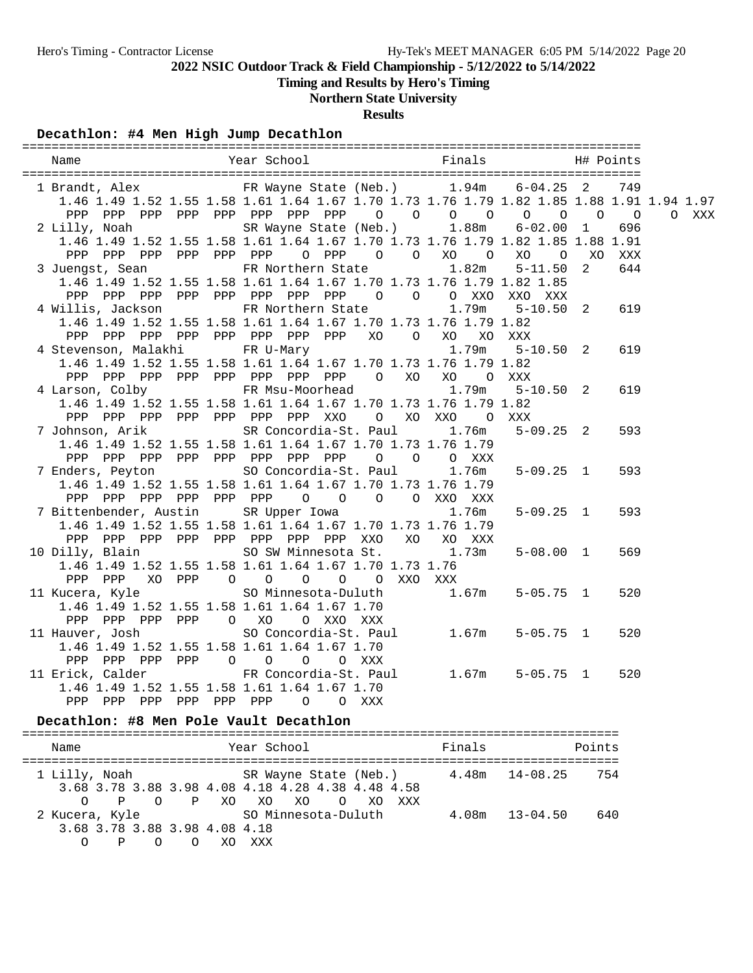**Timing and Results by Hero's Timing**

# **Northern State University**

**Results**

## **Decathlon: #4 Men High Jump Decathlon**

|  | 1 Brandt, Alex 6-04.25 FR Wayne State (Neb.) 1.94m 6-04.25 2                              |  |  |  |  |  |  |  |                |       |                   | 749 |       |
|--|-------------------------------------------------------------------------------------------|--|--|--|--|--|--|--|----------------|-------|-------------------|-----|-------|
|  | 1.46 1.49 1.52 1.55 1.58 1.61 1.64 1.67 1.70 1.73 1.76 1.79 1.82 1.85 1.88 1.91 1.94 1.97 |  |  |  |  |  |  |  |                |       |                   |     |       |
|  |                                                                                           |  |  |  |  |  |  |  |                |       |                   |     | O XXX |
|  | 2 Lilly, Noah SR Wayne State (Neb.) 1.88m 6-02.00 1                                       |  |  |  |  |  |  |  |                |       |                   | 696 |       |
|  | 1.46 1.49 1.52 1.55 1.58 1.61 1.64 1.67 1.70 1.73 1.76 1.79 1.82 1.85 1.88 1.91           |  |  |  |  |  |  |  |                |       |                   |     |       |
|  |                                                                                           |  |  |  |  |  |  |  |                |       |                   |     |       |
|  | 3 Juengst, Sean FR Northern State 1.82m 5-11.50 2 644                                     |  |  |  |  |  |  |  |                |       |                   |     |       |
|  | 1.46 1.49 1.52 1.55 1.58 1.61 1.64 1.67 1.70 1.73 1.76 1.79 1.82 1.85                     |  |  |  |  |  |  |  |                |       |                   |     |       |
|  | PPP PPP PPP PPP PPP PPP PPP PPP 0 0 0 XXO XXO XXX                                         |  |  |  |  |  |  |  |                |       |                   |     |       |
|  | 4 Willis, Jackson KR Northern State                                                       |  |  |  |  |  |  |  |                | 1.79m | $5 - 10.50$ 2 619 |     |       |
|  | 1.46 1.49 1.52 1.55 1.58 1.61 1.64 1.67 1.70 1.73 1.76 1.79 1.82                          |  |  |  |  |  |  |  |                |       |                   |     |       |
|  | PPP PPP PPP PPP PPP PPP PPP PPP XO O XO XO XXX                                            |  |  |  |  |  |  |  |                |       |                   |     |       |
|  | 4 Stevenson, Malakhi KR U-Mary 1.79m 5-10.50 2 619                                        |  |  |  |  |  |  |  |                |       |                   |     |       |
|  | 1.46 1.49 1.52 1.55 1.58 1.61 1.64 1.67 1.70 1.73 1.76 1.79 1.82                          |  |  |  |  |  |  |  |                |       |                   |     |       |
|  | PPP PPP PPP PPP PPP PPP PPP PPP 0 XO XO 0 XXX                                             |  |  |  |  |  |  |  |                |       |                   |     |       |
|  | 4 Larson, Colby FR Msu-Moorhead 1.79m                                                     |  |  |  |  |  |  |  |                |       | $5 - 10.50$ 2     | 619 |       |
|  | 1.46 1.49 1.52 1.55 1.58 1.61 1.64 1.67 1.70 1.73 1.76 1.79 1.82                          |  |  |  |  |  |  |  |                |       |                   |     |       |
|  | PPP PPP PPP PPP PPP PPP PPP XXO                                                           |  |  |  |  |  |  |  | O XO XXO O XXX |       |                   |     |       |
|  | 7 Johnson, Arik SR Concordia-St. Paul 1.76m 5-09.25 2                                     |  |  |  |  |  |  |  |                |       |                   | 593 |       |
|  | 1.46 1.49 1.52 1.55 1.58 1.61 1.64 1.67 1.70 1.73 1.76 1.79                               |  |  |  |  |  |  |  |                |       |                   |     |       |
|  | PPP PPP PPP PPP PPP PPP PPP PPP 0 0 0 XXX                                                 |  |  |  |  |  |  |  |                |       |                   |     |       |
|  | 7 Enders, Peyton 50 Concordia-St. Paul 1.76m 5-09.25 1                                    |  |  |  |  |  |  |  |                |       |                   | 593 |       |
|  | 1.46 1.49 1.52 1.55 1.58 1.61 1.64 1.67 1.70 1.73 1.76 1.79                               |  |  |  |  |  |  |  |                |       |                   |     |       |
|  | PPP PPP PPP PPP PPP PPP 0 0 0 0 XXO XXX                                                   |  |  |  |  |  |  |  |                |       |                   |     |       |
|  | 7 Bittenbender, Austin SR Upper Iowa                                                      |  |  |  |  |  |  |  |                | 1.76m | $5 - 09.25$ 1     | 593 |       |
|  | 1.46 1.49 1.52 1.55 1.58 1.61 1.64 1.67 1.70 1.73 1.76 1.79                               |  |  |  |  |  |  |  |                |       |                   |     |       |
|  | PPP PPP PPP PPP PPP PPP PPP PPP XXO XO XO XXX                                             |  |  |  |  |  |  |  |                |       |                   |     |       |
|  | 10 Dilly, Blain SO SW Minnesota St. 1.73m                                                 |  |  |  |  |  |  |  |                |       | $5 - 08.00$ 1     | 569 |       |
|  | 1.46 1.49 1.52 1.55 1.58 1.61 1.64 1.67 1.70 1.73 1.76                                    |  |  |  |  |  |  |  |                |       |                   |     |       |
|  | PPP PPP XO PPP 0 0 0 0 0 XXO XXX                                                          |  |  |  |  |  |  |  |                |       |                   |     |       |
|  |                                                                                           |  |  |  |  |  |  |  |                |       |                   | 520 |       |
|  | 1.46 1.49 1.52 1.55 1.58 1.61 1.64 1.67 1.70                                              |  |  |  |  |  |  |  |                |       |                   |     |       |
|  | PPP PPP PPP PPP 0 XO 0 XXO XXX                                                            |  |  |  |  |  |  |  |                |       |                   |     |       |
|  |                                                                                           |  |  |  |  |  |  |  |                |       |                   | 520 |       |
|  | 1.46 1.49 1.52 1.55 1.58 1.61 1.64 1.67 1.70                                              |  |  |  |  |  |  |  |                |       |                   |     |       |
|  | PPP PPP PPP PPP 0 0 0 0 XXX                                                               |  |  |  |  |  |  |  |                |       |                   |     |       |
|  | 11 Erick, Calder FR Concordia-St. Paul 1.67m 5-05.75 1                                    |  |  |  |  |  |  |  |                |       |                   | 520 |       |
|  | 1.46 1.49 1.52 1.55 1.58 1.61 1.64 1.67 1.70                                              |  |  |  |  |  |  |  |                |       |                   |     |       |
|  | PPP PPP PPP PPP PPP PPP 0 0 XXX                                                           |  |  |  |  |  |  |  |                |       |                   |     |       |
|  | Decathlon: #8 Men Pole Vault Decathlon                                                    |  |  |  |  |  |  |  |                |       |                   |     |       |
|  |                                                                                           |  |  |  |  |  |  |  |                |       |                   |     |       |

| Name                                                                         | Year School                                                                                               | Finals             | Points |
|------------------------------------------------------------------------------|-----------------------------------------------------------------------------------------------------------|--------------------|--------|
| 1 Lilly, Noah<br>$\Omega$<br>$\overline{P}$                                  | SR Wayne State (Neb.) 4.48m 14-08.25<br>3.68 3.78 3.88 3.98 4.08 4.18 4.28 4.38 4.48 4.58<br>OPXOXOXO OXO | xxx                | 754    |
| 2 Kucera, Kyle<br>3.68 3.78 3.88 3.98 4.08 4.18<br>$\Omega$<br>$\Omega$<br>P | SO Minnesota-Duluth<br>xxx<br>XO                                                                          | $4.08m$ $13-04.50$ | 640    |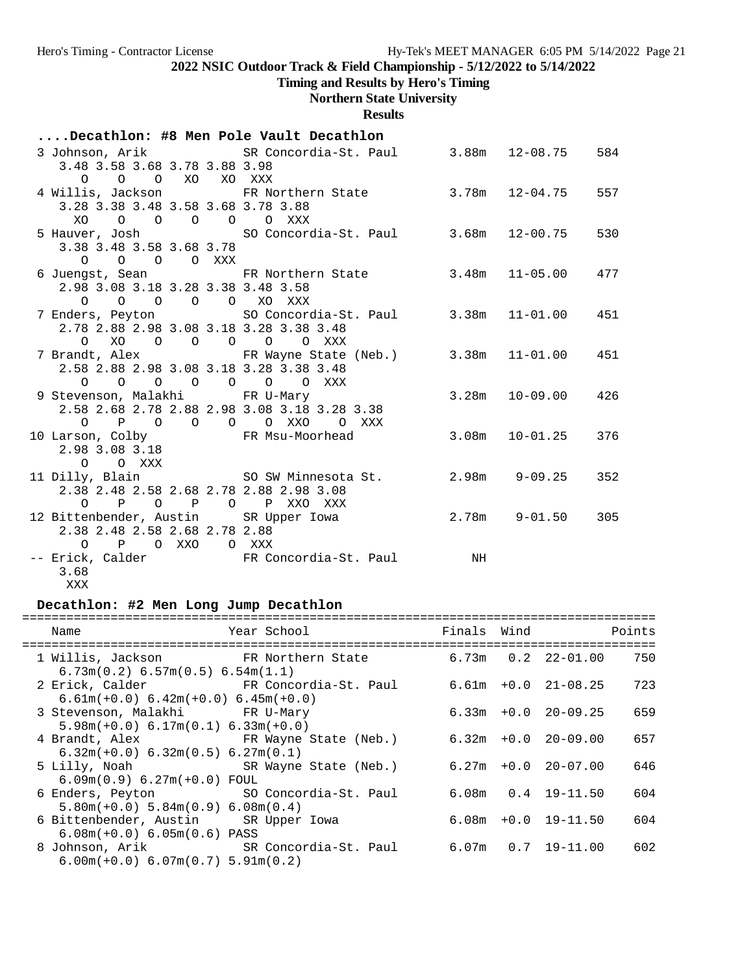**Timing and Results by Hero's Timing**

# **Northern State University**

**Results**

| Decathlon: #8 Men Pole Vault Decathlon                               |                                                                              |    |                         |     |  |  |  |  |
|----------------------------------------------------------------------|------------------------------------------------------------------------------|----|-------------------------|-----|--|--|--|--|
|                                                                      | 3 Johnson, Arik               SR Concordia-St. Paul         3.88m   12-08.75 |    |                         | 584 |  |  |  |  |
| 3.48 3.58 3.68 3.78 3.88 3.98                                        |                                                                              |    |                         |     |  |  |  |  |
| 0 0 0 XO XO XXX                                                      |                                                                              |    |                         |     |  |  |  |  |
|                                                                      | 4 Willis, Jackson FR Northern State 3.78m 12-04.75                           |    |                         | 557 |  |  |  |  |
| 3.28 3.38 3.48 3.58 3.68 3.78 3.88                                   |                                                                              |    |                         |     |  |  |  |  |
| 0 0 0 0 0 XXX<br>XO                                                  |                                                                              |    |                         |     |  |  |  |  |
|                                                                      | 5 Hauver, Josh SO Concordia-St. Paul 3.68m 12-00.75                          |    |                         | 530 |  |  |  |  |
| 3.38 3.48 3.58 3.68 3.78                                             |                                                                              |    |                         |     |  |  |  |  |
| 0 0 0 0 XXX                                                          |                                                                              |    |                         |     |  |  |  |  |
|                                                                      | 6 Juengst, Sean FR Northern State 3.48m 11-05.00                             |    |                         | 477 |  |  |  |  |
| 2.98 3.08 3.18 3.28 3.38 3.48 3.58                                   |                                                                              |    |                         |     |  |  |  |  |
| 0 0 0 0 0 XO XXX                                                     |                                                                              |    |                         |     |  |  |  |  |
|                                                                      | 7 Enders, Peyton 50 Concordia-St. Paul 3.38m 11-01.00                        |    |                         | 451 |  |  |  |  |
| 2.78 2.88 2.98 3.08 3.18 3.28 3.38 3.48                              |                                                                              |    |                         |     |  |  |  |  |
| XO O O O O O XXX<br>$\circ$                                          |                                                                              |    |                         |     |  |  |  |  |
|                                                                      | 7 Brandt, Alex FR Wayne State (Neb.) 3.38m 11-01.00                          |    |                         | 451 |  |  |  |  |
| 2.58 2.88 2.98 3.08 3.18 3.28 3.38 3.48                              |                                                                              |    |                         |     |  |  |  |  |
| $\begin{matrix} 0 & 0 & 0 & 0 & 0 & 0 & 0 & \text{XXX} \end{matrix}$ |                                                                              |    |                         |     |  |  |  |  |
| 9 Stevenson, Malakhi FR U-Mary                                       |                                                                              |    | 3.28m 10-09.00          | 426 |  |  |  |  |
| 2.58 2.68 2.78 2.88 2.98 3.08 3.18 3.28 3.38                         |                                                                              |    |                         |     |  |  |  |  |
| 0 P O O O O XXO O XXX                                                |                                                                              |    |                         |     |  |  |  |  |
| 10 Larson, Colby                 FR Msu-Moorhead                     |                                                                              |    | 3.08m 10-01.25          | 376 |  |  |  |  |
| 2.98 3.08 3.18                                                       |                                                                              |    |                         |     |  |  |  |  |
| O O XXX                                                              |                                                                              |    |                         |     |  |  |  |  |
|                                                                      | 11 Dilly, Blain (SO SW Minnesota St. 2.98m 9-09.25                           |    |                         | 352 |  |  |  |  |
| 2.38 2.48 2.58 2.68 2.78 2.88 2.98 3.08                              |                                                                              |    |                         |     |  |  |  |  |
| O P O P O P XXO XXX                                                  |                                                                              |    |                         |     |  |  |  |  |
| 12 Bittenbender, Austin SR Upper Iowa                                |                                                                              |    | $2.78m$ $9-01.50$ $305$ |     |  |  |  |  |
| 2.38 2.48 2.58 2.68 2.78 2.88<br>O P O XXO O XXX                     |                                                                              |    |                         |     |  |  |  |  |
|                                                                      |                                                                              | NH |                         |     |  |  |  |  |
| 3.68                                                                 | -- Erick, Calder FR Concordia-St. Paul                                       |    |                         |     |  |  |  |  |
|                                                                      |                                                                              |    |                         |     |  |  |  |  |

XXX

## **Decathlon: #2 Men Long Jump Decathlon**

| Name<br>================================                                      | Year School Show                                          |  | Finals Wind              | Points |
|-------------------------------------------------------------------------------|-----------------------------------------------------------|--|--------------------------|--------|
| 6.73m(0.2) 6.57m(0.5) 6.54m(1.1)                                              | 1 Willis, Jackson             FR Northern State           |  | $6.73m$ $0.2$ $22-01.00$ | 750    |
| $6.61m(+0.0) 6.42m(+0.0) 6.45m(+0.0)$                                         | 2 Erick, Calder               FR Concordia-St. Paul       |  | 6.61m +0.0 21-08.25      | 723    |
| 3 Stevenson, Malakhi Kantur PR U-Mary<br>$5.98m(+0.0) 6.17m(0.1) 6.33m(+0.0)$ |                                                           |  | $6.33m + 0.0$ 20-09.25   | 659    |
| $6.32m(+0.0)$ $6.32m(0.5)$ $6.27m(0.1)$                                       | 4 Brandt, Alex FR Wayne State (Neb.)                      |  | $6.32m + 0.0$ 20-09.00   | 657    |
| $6.09m(0.9) 6.27m(+0.0) F0UL$                                                 | 5 Lilly, Noah                       SR Wayne State (Neb.) |  | $6.27m + 0.0$ 20-07.00   | 646    |
| $5.80m(+0.0)$ $5.84m(0.9)$ $6.08m(0.4)$                                       | 6 Enders, Peyton SO Concordia-St. Paul                    |  | $6.08m$ $0.4$ $19-11.50$ | 604    |
| 6 Bittenbender, Austin SR Upper Iowa<br>$6.08m(+0.0) 6.05m(0.6) PASS$         |                                                           |  | $6.08m + 0.0 19-11.50$   | 604    |
| $6.00m(+0.0) 6.07m(0.7) 5.91m(0.2)$                                           | 8 Johnson, Arik SR Concordia-St. Paul                     |  | 6.07m   0.7   19-11.00   | 602    |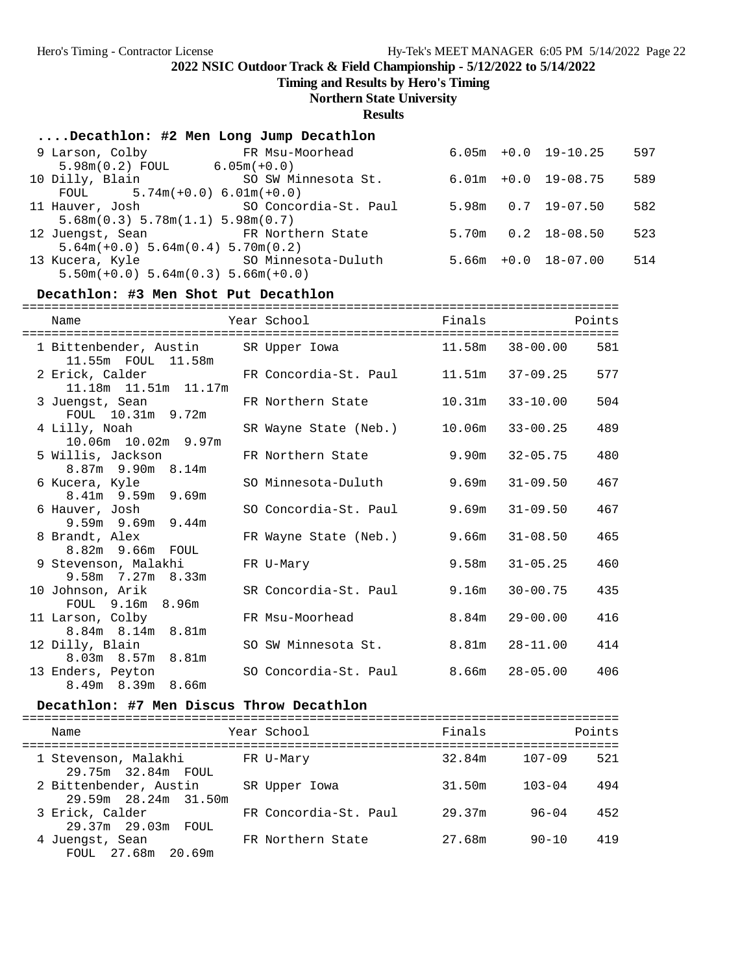**Timing and Results by Hero's Timing**

## **Northern State University**

**Results**

| Decathlon: #2 Men Long Jump Decathlon              |                                       |  |                          |     |
|----------------------------------------------------|---------------------------------------|--|--------------------------|-----|
| 9 Larson, Colby FR Msu-Moorhead                    |                                       |  | $6.05m + 0.0$ 19-10.25   | 597 |
| $5.98m(0.2)$ FOUL 6.05m(+0.0)                      |                                       |  |                          |     |
| 10 Dilly, Blain SO SW Minnesota St.                |                                       |  | $6.01m + 0.0 19 - 08.75$ | 589 |
| FOUL $5.74m(+0.0) 6.01m(+0.0)$                     |                                       |  |                          |     |
|                                                    | 11 Hauver, Josh SO Concordia-St. Paul |  | $5.98m$ $0.7$ $19-07.50$ | 582 |
| $5.68$ m $(0.3)$ $5.78$ m $(1.1)$ $5.98$ m $(0.7)$ |                                       |  |                          |     |
| 12 Juengst, Sean FR Northern State                 |                                       |  | $5.70m$ $0.2$ $18-08.50$ | 523 |
| $5.64m(+0.0)$ $5.64m(0.4)$ $5.70m(0.2)$            |                                       |  |                          |     |
|                                                    | 13 Kucera, Kyle SO Minnesota-Duluth   |  | $5.66m + 0.0$ 18-07.00   | 514 |
| $5.50m(+0.0)$ $5.64m(0.3)$ $5.66m(+0.0)$           |                                       |  |                          |     |

## **Decathlon: #3 Men Shot Put Decathlon**

| Name                                                            | Year School                              | Finals |                    | Points |
|-----------------------------------------------------------------|------------------------------------------|--------|--------------------|--------|
| 1 Bittenbender, Austin SR Upper Iowa 11.58m 38-00.00            |                                          |        |                    | 581    |
| 2 Erick, Calder FR Concordia-St. Paul<br>11.18m  11.51m  11.17m |                                          | 11.51m | 37-09.25           | 577    |
| 3 Juengst, Sean<br>FOUL 10.31m 9.72m                            | FR Northern State                        | 10.31m | $33 - 10.00$       | 504    |
| 4 Lilly, Noah<br>10.06m 10.02m 9.97m                            | SR Wayne State (Neb.) 10.06m 33-00.25    |        |                    | 489    |
| 5 Willis, Jackson<br>$8.87m$ 9.90 $m$ 8.14 $m$                  | FR Northern State                        | 9.90m  | $32 - 05.75$       | 480    |
| 6 Kucera, Kyle<br>8.41m 9.59m 9.69m                             | SO Minnesota-Duluth                      |        | $9.69m$ $31-09.50$ | 467    |
| 6 Hauver, Josh<br>$9.59m$ $9.69m$ $9.44m$                       | SO Concordia-St. Paul                    | 9.69m  | $31 - 09.50$       | 467    |
| 8 Brandt, Alex<br>8.82m 9.66m FOUL                              | FR Wayne State (Neb.)                    | 9.66m  | $31 - 08.50$       | 465    |
| 9 Stevenson, Malakhi<br>$9.58m$ 7.27m 8.33m                     | FR U-Mary                                | 9.58m  | $31 - 05.25$       | 460    |
| 10 Johnson, Arik<br>FOUL 9.16m 8.96m                            | SR Concordia-St. Paul                    | 9.16m  | $30 - 00.75$       | 435    |
| 11 Larson, Colby<br>8.84m 8.14m 8.81m                           | FR Msu-Moorhead                          | 8.84m  | $29 - 00.00$       | 416    |
| 12 Dilly, Blain<br>8.03m 8.57m 8.81m                            | SO SW Minnesota St.                      | 8.81m  | $28 - 11.00$       | 414    |
| 13 Enders, Peyton<br>8.49m 8.39m 8.66m                          | SO Concordia-St. Paul $8.66m$ $28-05.00$ |        |                    | 406    |

#### Decathlon: #7 Men Discus Throw Decathlon

| Name                                           | Year School           | Finals |            | Points |
|------------------------------------------------|-----------------------|--------|------------|--------|
| 1 Stevenson, Malakhi<br>29.75m 32.84m FOUL     | FR U-Mary             | 32.84m | $107 - 09$ | 521    |
| 2 Bittenbender, Austin<br>29.59m 28.24m 31.50m | SR Upper Iowa         | 31.50m | $103 - 04$ | 494    |
| 3 Erick, Calder<br>29.37m 29.03m<br>FOUL.      | FR Concordia-St. Paul | 29.37m | $96 - 04$  | 452    |
| 4 Juengst, Sean<br>FOUL 27.68m<br>20.69m       | FR Northern State     | 27.68m | $90 - 10$  | 419    |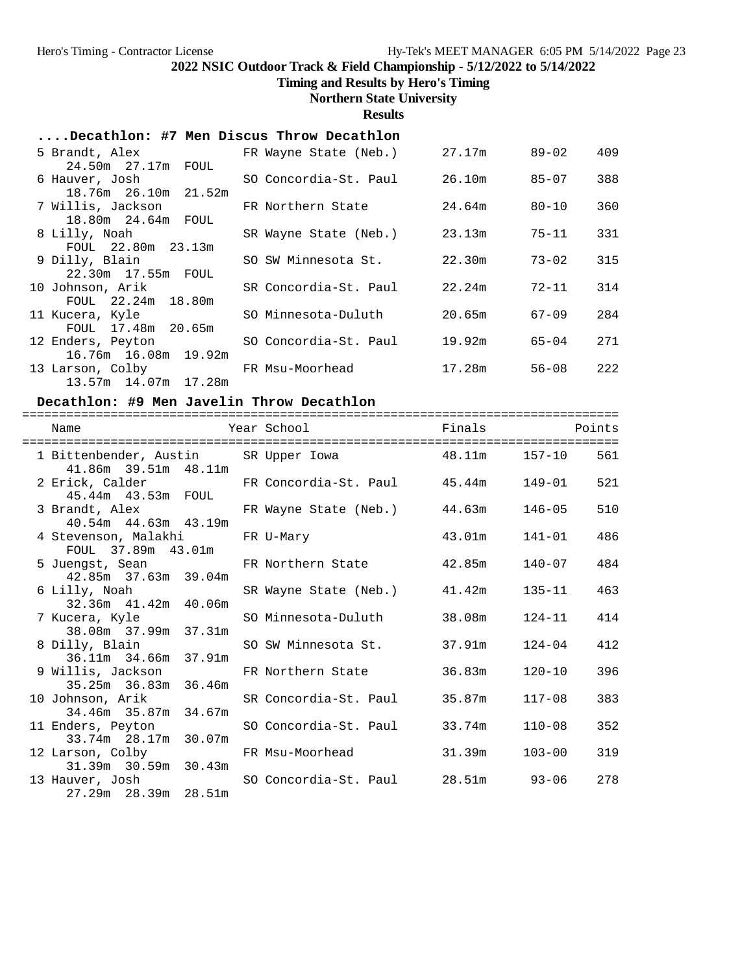**Timing and Results by Hero's Timing**

## **Northern State University**

**Results**

## **....Decathlon: #7 Men Discus Throw Decathlon**

| 5 Brandt, Alex<br>24.50m 27.17m FOUL                             | FR Wayne State (Neb.) | 27.17m | 89-02     | 409 |
|------------------------------------------------------------------|-----------------------|--------|-----------|-----|
| 6 Hauver, Josh                                                   | SO Concordia-St. Paul | 26.10m | 85-07     | 388 |
| 18.76m 26.10m 21.52m<br>7 Willis, Jackson                        | FR Northern State     | 24.64m | 80-10     | 360 |
| 18.80m  24.64m  FOUL<br>8 Lilly, Noah                            | SR Wayne State (Neb.) | 23.13m | 75-11     | 331 |
| FOUL 22.80m 23.13m<br>9 Dilly, Blain                             | SO SW Minnesota St.   | 22.30m | $73 - 02$ | 315 |
| 22.30m 17.55m FOUL<br>10 Johnson, Arik                           | SR Concordia-St. Paul | 22.24m | 72-11     | 314 |
| FOUL 22.24m 18.80m<br>11 Kucera, Kyle                            | SO Minnesota-Duluth   | 20.65m | $67 - 09$ | 284 |
| FOUL 17.48m 20.65m<br>12 Enders, Peyton                          | SO Concordia-St. Paul | 19.92m | 65-04     | 271 |
| 16.76m 16.08m 19.92m<br>13 Larson, Colby<br>13.57m 14.07m 17.28m | FR Msu-Moorhead       | 17.28m | $56 - 08$ | 222 |
|                                                                  |                       |        |           |     |

#### **Decathlon: #9 Men Javelin Throw Decathlon**

| Name                                                                             | Year School                         | _________________________________<br>Finals |               | Points |
|----------------------------------------------------------------------------------|-------------------------------------|---------------------------------------------|---------------|--------|
| 1 Bittenbender, Austin SR Upper Iowa 48.11m 157-10<br>$41.86m$ $39.51m$ $48.11m$ |                                     |                                             |               | 561    |
| 2 Erick, Calder FR Concordia-St. Paul 45.44m 149-01<br>45.44m  43.53m  FOUL      |                                     |                                             |               | 521    |
| 3 Brandt, Alex<br>40.54m  44.63m  43.19m                                         | FR Wayne State (Neb.) 44.63m 146-05 |                                             |               | 510    |
| 4 Stevenson, Malakhi<br>FOUL 37.89m 43.01m                                       | FR U-Mary                           |                                             | 43.01m 141-01 | 486    |
| 5 Juengst, Sean<br>42.85m 37.63m 39.04m                                          | FR Northern State $42.85m$ 140-07   |                                             |               | 484    |
| 6 Lilly, Noah<br>32.36m 41.42m 40.06m                                            | SR Wayne State (Neb.) 41.42m 135-11 |                                             |               | 463    |
| 7 Kucera, Kyle<br>38.08m 37.99m 37.31m                                           | SO Minnesota-Duluth                 | 38.08m                                      | $124 - 11$    | 414    |
| 8 Dilly, Blain<br>36.11m 34.66m 37.91m                                           | SO SW Minnesota St.                 | 37.91m                                      | $124 - 04$    | 412    |
| 9 Willis, Jackson<br>35.25m 36.83m 36.46m                                        | FR Northern State                   | 36.83m                                      | $120 - 10$    | 396    |
| 10 Johnson, Arik<br>34.46m 35.87m 34.67m                                         | SR Concordia-St. Paul 35.87m        |                                             | $117 - 08$    | 383    |
| 11 Enders, Peyton<br>33.74m 28.17m 30.07m                                        | SO Concordia-St. Paul               | 33.74m                                      | $110 - 08$    | 352    |
| 12 Larson, Colby<br>31.39m 30.59m 30.43m                                         | FR Msu-Moorhead                     | 31.39m                                      | $103 - 00$    | 319    |
| 13 Hauver, Josh<br>27.29m 28.39m 28.51m                                          | SO Concordia-St. Paul 28.51m        |                                             | $93 - 06$     | 278    |